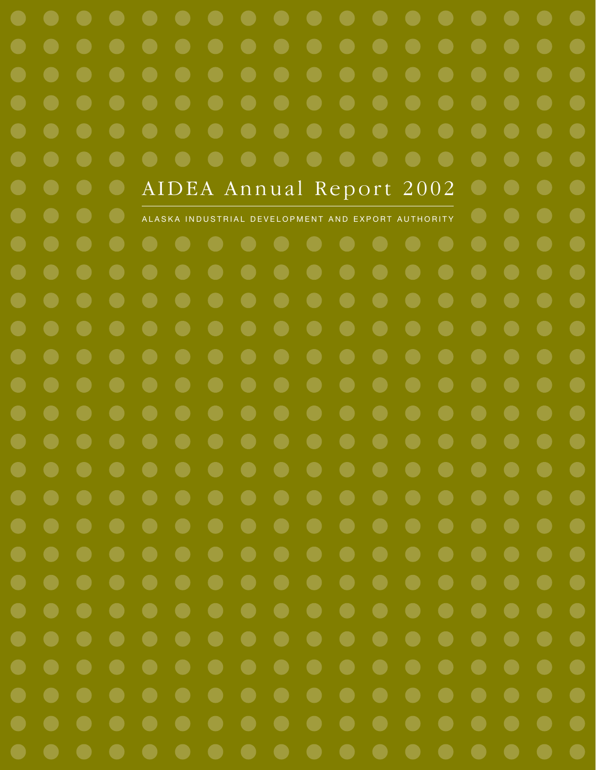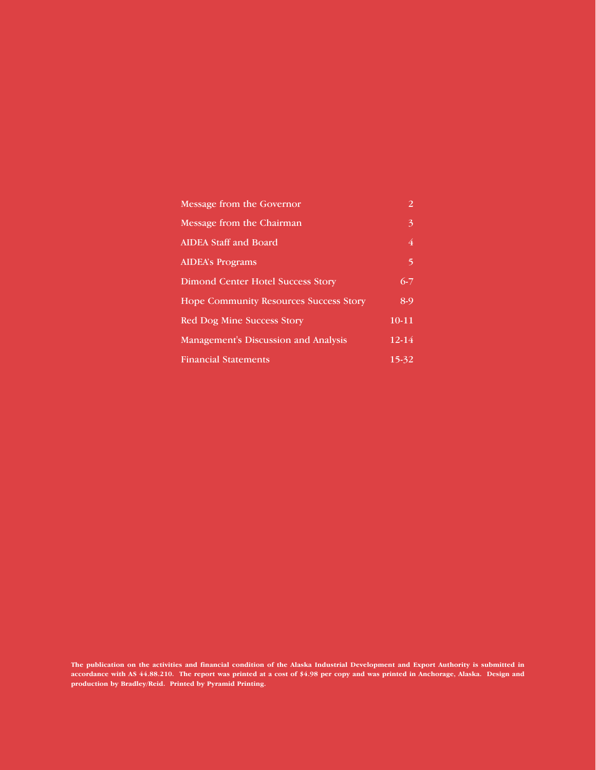| Message from the Governor                     | 2         |
|-----------------------------------------------|-----------|
| Message from the Chairman                     | 3         |
| <b>AIDEA Staff and Board</b>                  | 4         |
| <b>AIDEA's Programs</b>                       | 5         |
| <b>Dimond Center Hotel Success Story</b>      | $6 - 7$   |
| <b>Hope Community Resources Success Story</b> | 8-9       |
| <b>Red Dog Mine Success Story</b>             | $10 - 11$ |
| Management's Discussion and Analysis          | $12 - 14$ |
| <b>Financial Statements</b>                   | 15-32     |

**The publication on the activities and financial condition of the Alaska Industrial Development and Export Authority is submitted in accordance with AS 44.88.210. The report was printed at a cost of \$4.98 per copy and was printed in Anchorage, Alaska. Design and production by Bradley/Reid. Printed by Pyramid Printing.**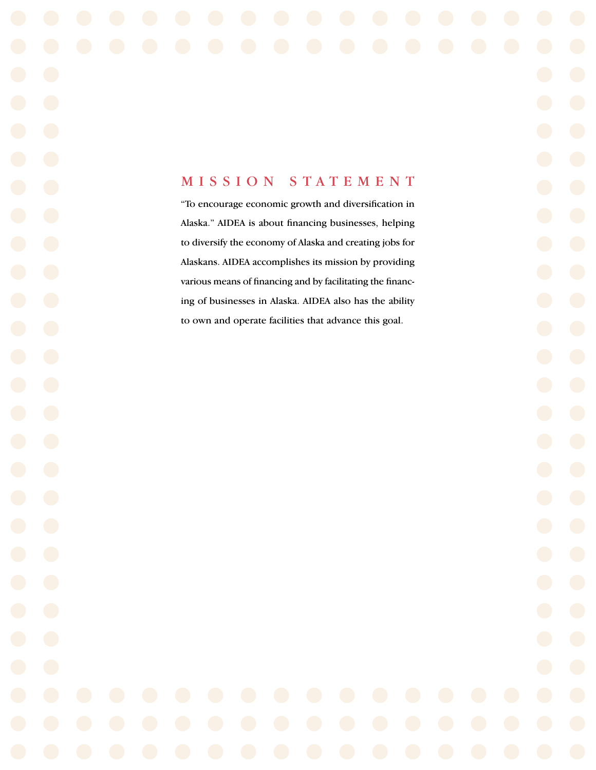### MISSION STATEMENT

"To encourage economic growth and diversification in Alaska." AIDEA is about financing businesses, helping to diversify the economy of Alaska and creating jobs for Alaskans. AIDEA accomplishes its mission by providing various means of financing and by facilitating the financing of businesses in Alaska. AIDEA also has the ability to own and operate facilities that advance this goal.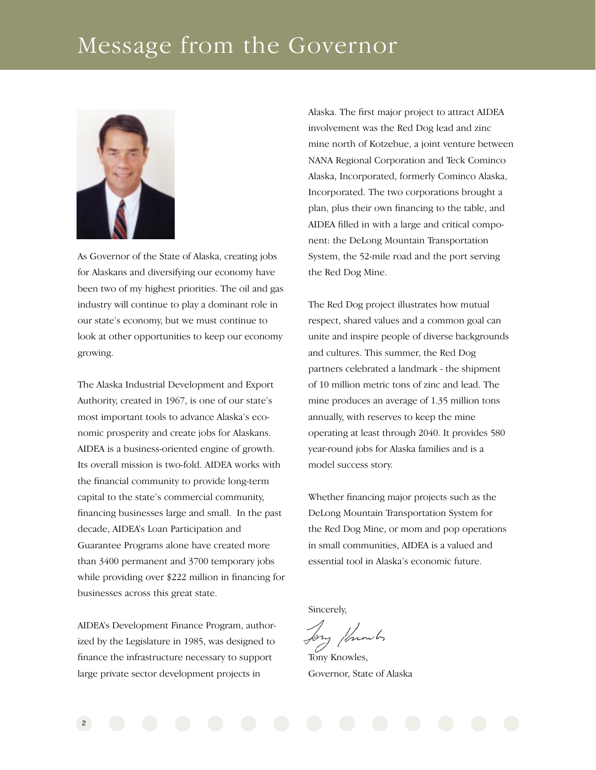## Message from the Governor



As Governor of the State of Alaska, creating jobs for Alaskans and diversifying our economy have been two of my highest priorities. The oil and gas industry will continue to play a dominant role in our state's economy, but we must continue to look at other opportunities to keep our economy growing.

The Alaska Industrial Development and Export Authority, created in 1967, is one of our state's most important tools to advance Alaska's economic prosperity and create jobs for Alaskans. AIDEA is a business-oriented engine of growth. Its overall mission is two-fold. AIDEA works with the financial community to provide long-term capital to the state's commercial community, financing businesses large and small. In the past decade, AIDEA's Loan Participation and Guarantee Programs alone have created more than 3400 permanent and 3700 temporary jobs while providing over \$222 million in financing for businesses across this great state.

AIDEA's Development Finance Program, authorized by the Legislature in 1985, was designed to finance the infrastructure necessary to support large private sector development projects in

Alaska. The first major project to attract AIDEA involvement was the Red Dog lead and zinc mine north of Kotzebue, a joint venture between NANA Regional Corporation and Teck Cominco Alaska, Incorporated, formerly Cominco Alaska, Incorporated. The two corporations brought a plan, plus their own financing to the table, and AIDEA filled in with a large and critical component: the DeLong Mountain Transportation System, the 52-mile road and the port serving the Red Dog Mine.

The Red Dog project illustrates how mutual respect, shared values and a common goal can unite and inspire people of diverse backgrounds and cultures. This summer, the Red Dog partners celebrated a landmark - the shipment of 10 million metric tons of zinc and lead. The mine produces an average of 1.35 million tons annually, with reserves to keep the mine operating at least through 2040. It provides 580 year-round jobs for Alaska families and is a model success story.

Whether financing major projects such as the DeLong Mountain Transportation System for the Red Dog Mine, or mom and pop operations in small communities, AIDEA is a valued and essential tool in Alaska's economic future.

Sincerely,

Jony Humbs

Tony Knowles, Governor, State of Alaska

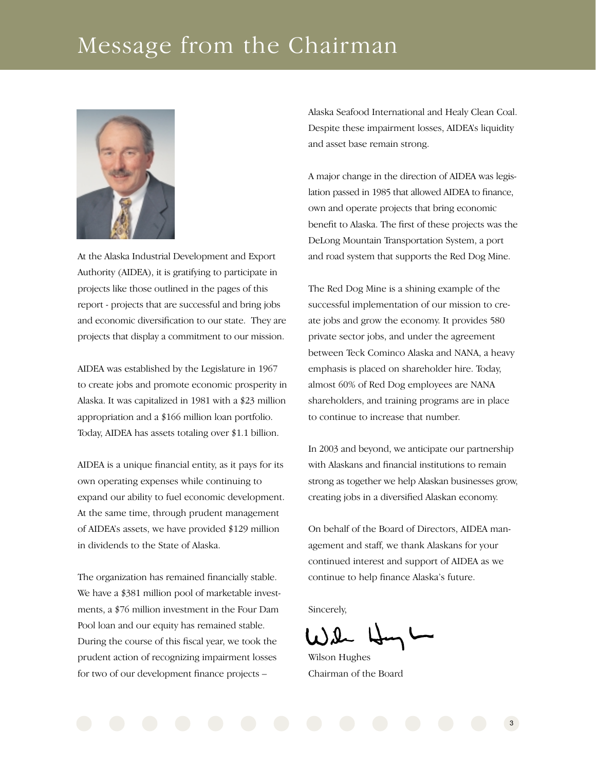## Message from the Chairman



At the Alaska Industrial Development and Export Authority (AIDEA), it is gratifying to participate in projects like those outlined in the pages of this report - projects that are successful and bring jobs and economic diversification to our state. They are projects that display a commitment to our mission.

AIDEA was established by the Legislature in 1967 to create jobs and promote economic prosperity in Alaska. It was capitalized in 1981 with a \$23 million appropriation and a \$166 million loan portfolio. Today, AIDEA has assets totaling over \$1.1 billion.

AIDEA is a unique financial entity, as it pays for its own operating expenses while continuing to expand our ability to fuel economic development. At the same time, through prudent management of AIDEA's assets, we have provided \$129 million in dividends to the State of Alaska.

The organization has remained financially stable. We have a \$381 million pool of marketable investments, a \$76 million investment in the Four Dam Pool loan and our equity has remained stable. During the course of this fiscal year, we took the prudent action of recognizing impairment losses for two of our development finance projects –

Alaska Seafood International and Healy Clean Coal. Despite these impairment losses, AIDEA's liquidity and asset base remain strong.

A major change in the direction of AIDEA was legislation passed in 1985 that allowed AIDEA to finance, own and operate projects that bring economic benefit to Alaska. The first of these projects was the DeLong Mountain Transportation System, a port and road system that supports the Red Dog Mine.

The Red Dog Mine is a shining example of the successful implementation of our mission to create jobs and grow the economy. It provides 580 private sector jobs, and under the agreement between Teck Cominco Alaska and NANA, a heavy emphasis is placed on shareholder hire. Today, almost 60% of Red Dog employees are NANA shareholders, and training programs are in place to continue to increase that number.

In 2003 and beyond, we anticipate our partnership with Alaskans and financial institutions to remain strong as together we help Alaskan businesses grow, creating jobs in a diversified Alaskan economy.

On behalf of the Board of Directors, AIDEA management and staff, we thank Alaskans for your continued interest and support of AIDEA as we continue to help finance Alaska's future.

Sincerely,

Wilson Hughes Chairman of the Board

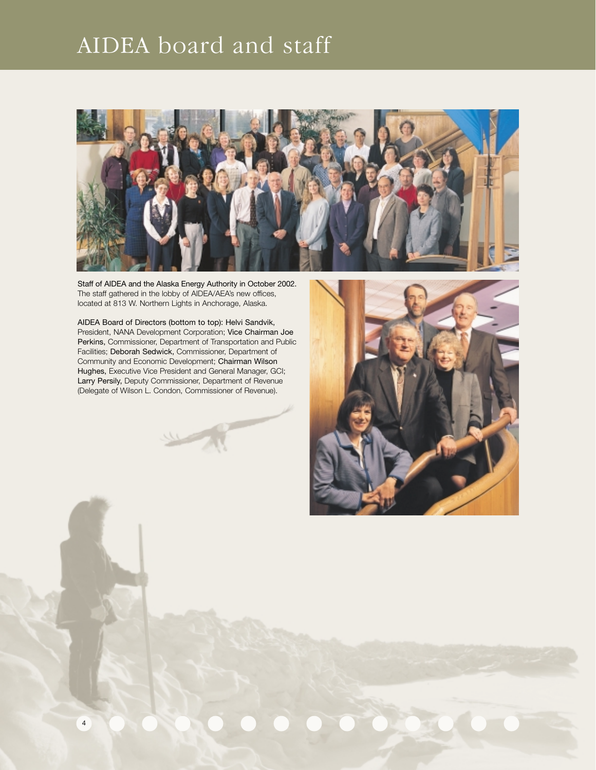# AIDEA board and staff



Staff of AIDEA and the Alaska Energy Authority in October 2002. The staff gathered in the lobby of AIDEA/AEA's new offices, located at 813 W. Northern Lights in Anchorage, Alaska.

AIDEA Board of Directors (bottom to top): Helvi Sandvik, President, NANA Development Corporation; Vice Chairman Joe Perkins, Commissioner, Department of Transportation and Public Facilities; Deborah Sedwick, Commissioner, Department of Community and Economic Development; Chairman Wilson Hughes, Executive Vice President and General Manager, GCI; Larry Persily, Deputy Commissioner, Department of Revenue (Delegate of Wilson L. Condon, Commissioner of Revenue).

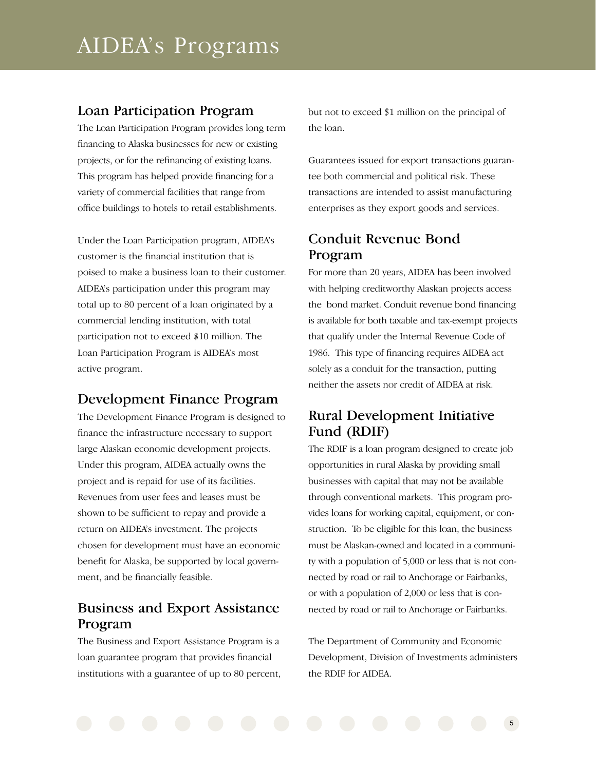### Loan Participation Program

The Loan Participation Program provides long term financing to Alaska businesses for new or existing projects, or for the refinancing of existing loans. This program has helped provide financing for a variety of commercial facilities that range from office buildings to hotels to retail establishments.

Under the Loan Participation program, AIDEA's customer is the financial institution that is poised to make a business loan to their customer. AIDEA's participation under this program may total up to 80 percent of a loan originated by a commercial lending institution, with total participation not to exceed \$10 million. The Loan Participation Program is AIDEA's most active program.

### Development Finance Program

The Development Finance Program is designed to finance the infrastructure necessary to support large Alaskan economic development projects. Under this program, AIDEA actually owns the project and is repaid for use of its facilities. Revenues from user fees and leases must be shown to be sufficient to repay and provide a return on AIDEA's investment. The projects chosen for development must have an economic benefit for Alaska, be supported by local government, and be financially feasible.

### Business and Export Assistance Program

The Business and Export Assistance Program is a loan guarantee program that provides financial institutions with a guarantee of up to 80 percent, but not to exceed \$1 million on the principal of the loan.

Guarantees issued for export transactions guarantee both commercial and political risk. These transactions are intended to assist manufacturing enterprises as they export goods and services.

### Conduit Revenue Bond Program

For more than 20 years, AIDEA has been involved with helping creditworthy Alaskan projects access the bond market. Conduit revenue bond financing is available for both taxable and tax-exempt projects that qualify under the Internal Revenue Code of 1986. This type of financing requires AIDEA act solely as a conduit for the transaction, putting neither the assets nor credit of AIDEA at risk.

### Rural Development Initiative Fund (RDIF)

The RDIF is a loan program designed to create job opportunities in rural Alaska by providing small businesses with capital that may not be available through conventional markets. This program provides loans for working capital, equipment, or construction. To be eligible for this loan, the business must be Alaskan-owned and located in a community with a population of 5,000 or less that is not connected by road or rail to Anchorage or Fairbanks, or with a population of 2,000 or less that is connected by road or rail to Anchorage or Fairbanks.

The Department of Community and Economic Development, Division of Investments administers the RDIF for AIDEA.

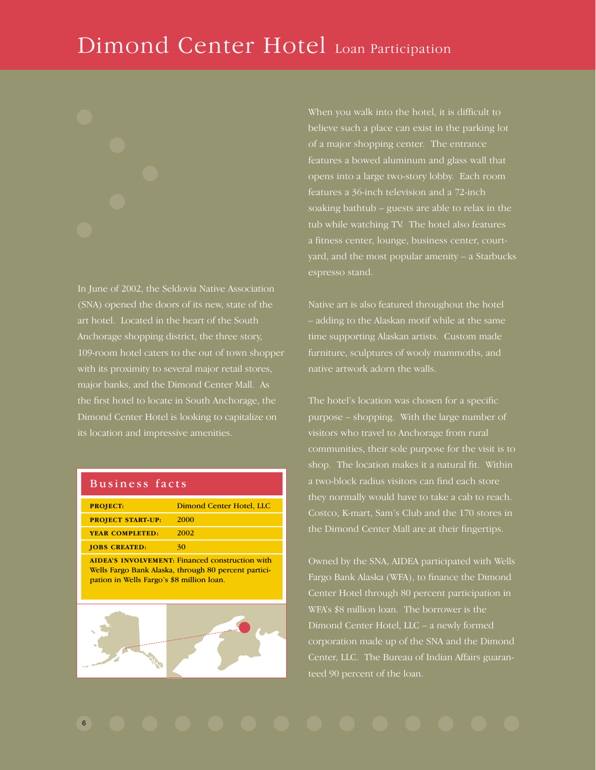# Dimond Center Hotel Loan Participation

In June of 2002, the Seldovia Native Association (SNA) opened the doors of its new, state of the art hotel. Located in the heart of the South Anchorage shopping district, the three story, 109-room hotel caters to the out of town shopper with its proximity to several major retail stores, major banks, and the Dimond Center Mall. As the first hotel to locate in South Anchorage, the Dimond Center Hotel is looking to capitalize on its location and impressive amenities.

|  |  | Business facts |
|--|--|----------------|
|  |  |                |

| <b>PROJECT:</b>          | Dimond Center Hotel, LLC                                                                                       |
|--------------------------|----------------------------------------------------------------------------------------------------------------|
| <b>PROJECT START-UP:</b> | 2000                                                                                                           |
| <b>YEAR COMPLETED:</b>   | 2002                                                                                                           |
| <b>JOBS CREATED:</b>     | 30                                                                                                             |
|                          | <b>AIDEA'S INVOLVEMENT: Financed construction with</b><br>Wells Fargo Bank Alaska, through 80 percent partici- |

pation in Wells Fargo's \$8 million loan.



When you walk into the hotel, it is difficult to believe such a place can exist in the parking lot of a major shopping center. The entrance features a bowed aluminum and glass wall that opens into a large two-story lobby. Each room features a 36-inch television and a 72-inch soaking bathtub – guests are able to relax in the tub while watching TV. The hotel also features a fitness center, lounge, business center, courtyard, and the most popular amenity – a Starbucks espresso stand.

Native art is also featured throughout the hotel – adding to the Alaskan motif while at the same time supporting Alaskan artists. Custom made furniture, sculptures of wooly mammoths, and native artwork adorn the walls.

The hotel's location was chosen for a specific purpose – shopping. With the large number of visitors who travel to Anchorage from rural communities, their sole purpose for the visit is to shop. The location makes it a natural fit. Within a two-block radius visitors can find each store they normally would have to take a cab to reach. Costco, K-mart, Sam's Club and the 170 stores in the Dimond Center Mall are at their fingertips.

Owned by the SNA, AIDEA participated with Wells Fargo Bank Alaska (WFA), to finance the Dimond Center Hotel through 80 percent participation in WFA's \$8 million loan. The borrower is the Dimond Center Hotel, LLC – a newly formed corporation made up of the SNA and the Dimond Center, LLC. The Bureau of Indian Affairs guaranteed 90 percent of the loan.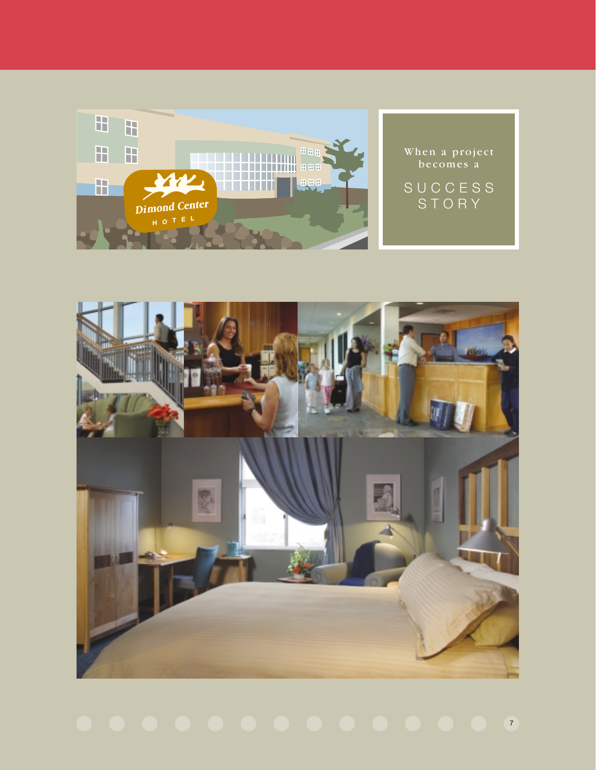

When a project becomes a

SUCCESS STORY



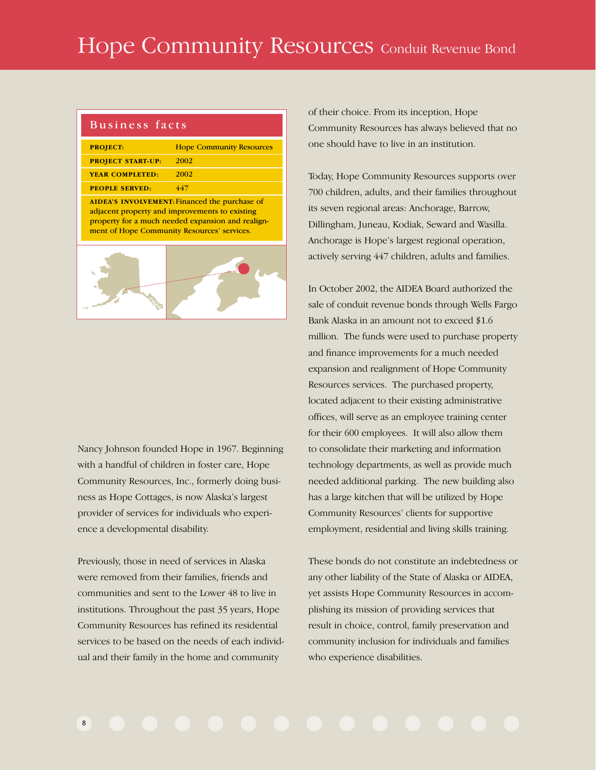# Hope Community Resources Conduit Revenue Bond

| Business facts           |                                                                                                                                                    |
|--------------------------|----------------------------------------------------------------------------------------------------------------------------------------------------|
| <b>PROJECT:</b>          | <b>Hope Community Resources</b>                                                                                                                    |
| <b>PROJECT START-UP:</b> | 2002                                                                                                                                               |
| <b>YEAR COMPLETED:</b>   | 2002                                                                                                                                               |
| <b>PEOPLE SERVED:</b>    | 447                                                                                                                                                |
|                          | adjacent property and improvements to existing<br>property for a much needed expansion and realign-<br>ment of Hope Community Resources' services. |
|                          |                                                                                                                                                    |

Nancy Johnson founded Hope in 1967. Beginning with a handful of children in foster care, Hope Community Resources, Inc., formerly doing business as Hope Cottages, is now Alaska's largest provider of services for individuals who experience a developmental disability.

Previously, those in need of services in Alaska were removed from their families, friends and communities and sent to the Lower 48 to live in institutions. Throughout the past 35 years, Hope Community Resources has refined its residential services to be based on the needs of each individual and their family in the home and community

of their choice. From its inception, Hope Community Resources has always believed that no one should have to live in an institution.

Today, Hope Community Resources supports over 700 children, adults, and their families throughout its seven regional areas: Anchorage, Barrow, Dillingham, Juneau, Kodiak, Seward and Wasilla. Anchorage is Hope's largest regional operation, actively serving 447 children, adults and families.

In October 2002, the AIDEA Board authorized the sale of conduit revenue bonds through Wells Fargo Bank Alaska in an amount not to exceed \$1.6 million. The funds were used to purchase property and finance improvements for a much needed expansion and realignment of Hope Community Resources services. The purchased property, located adjacent to their existing administrative offices, will serve as an employee training center for their 600 employees. It will also allow them to consolidate their marketing and information technology departments, as well as provide much needed additional parking. The new building also has a large kitchen that will be utilized by Hope Community Resources' clients for supportive employment, residential and living skills training.

These bonds do not constitute an indebtedness or any other liability of the State of Alaska or AIDEA, yet assists Hope Community Resources in accomplishing its mission of providing services that result in choice, control, family preservation and community inclusion for individuals and families who experience disabilities.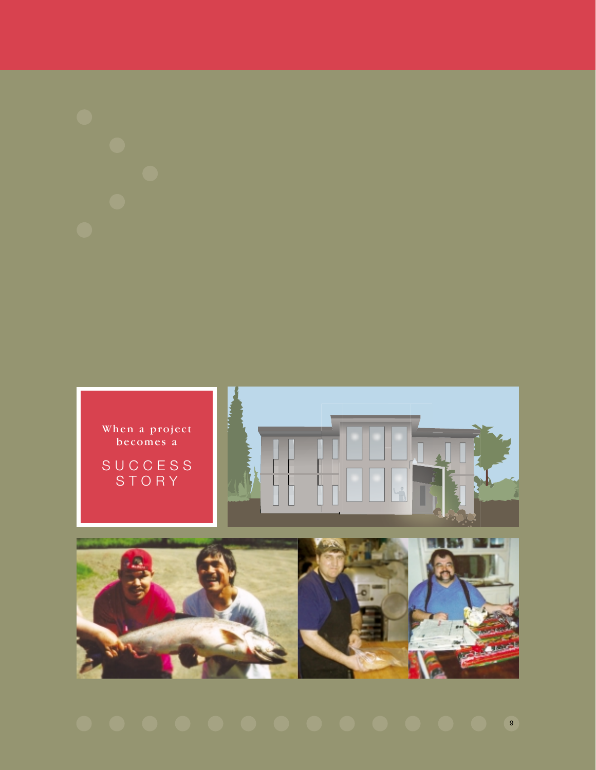

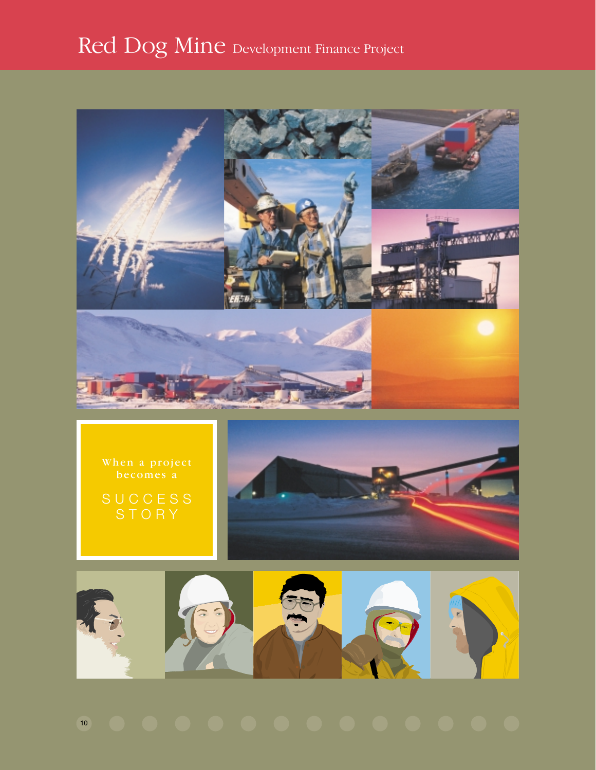# Red Dog Mine Development Finance Project



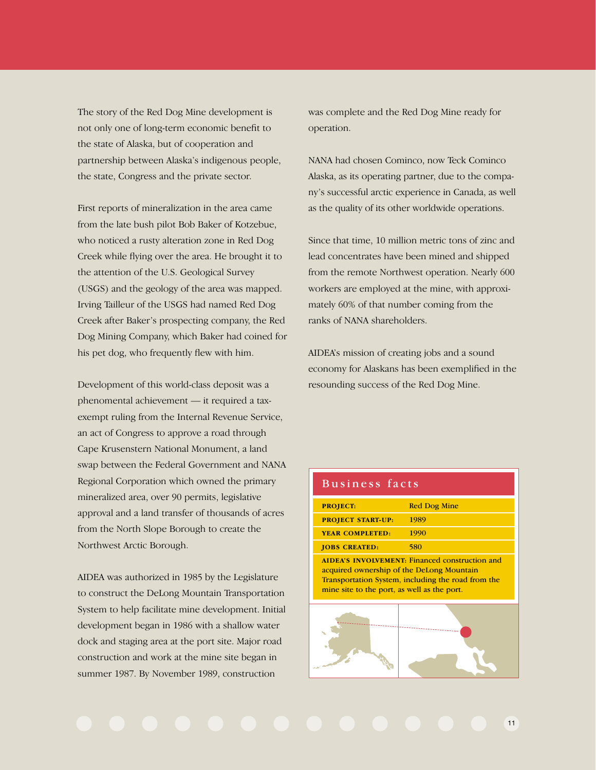The story of the Red Dog Mine development is not only one of long-term economic benefit to the state of Alaska, but of cooperation and partnership between Alaska's indigenous people, the state, Congress and the private sector.

First reports of mineralization in the area came from the late bush pilot Bob Baker of Kotzebue, who noticed a rusty alteration zone in Red Dog Creek while flying over the area. He brought it to the attention of the U.S. Geological Survey (USGS) and the geology of the area was mapped. Irving Tailleur of the USGS had named Red Dog Creek after Baker's prospecting company, the Red Dog Mining Company, which Baker had coined for his pet dog, who frequently flew with him.

Development of this world-class deposit was a phenomental achievement — it required a taxexempt ruling from the Internal Revenue Service, an act of Congress to approve a road through Cape Krusenstern National Monument, a land swap between the Federal Government and NANA Regional Corporation which owned the primary mineralized area, over 90 permits, legislative approval and a land transfer of thousands of acres from the North Slope Borough to create the Northwest Arctic Borough.

AIDEA was authorized in 1985 by the Legislature to construct the DeLong Mountain Transportation System to help facilitate mine development. Initial development began in 1986 with a shallow water dock and staging area at the port site. Major road construction and work at the mine site began in summer 1987. By November 1989, construction

was complete and the Red Dog Mine ready for operation.

NANA had chosen Cominco, now Teck Cominco Alaska, as its operating partner, due to the company's successful arctic experience in Canada, as well as the quality of its other worldwide operations.

Since that time, 10 million metric tons of zinc and lead concentrates have been mined and shipped from the remote Northwest operation. Nearly 600 workers are employed at the mine, with approximately 60% of that number coming from the ranks of NANA shareholders.

AIDEA's mission of creating jobs and a sound economy for Alaskans has been exemplified in the resounding success of the Red Dog Mine.

### Business facts Business facts

| <b>PROJECT:</b>                                                                          | <b>Red Dog Mine</b>                                                                                         |
|------------------------------------------------------------------------------------------|-------------------------------------------------------------------------------------------------------------|
| <b>PROJECT START-UP:</b>                                                                 | 1989                                                                                                        |
| <b>YEAR COMPLETED:</b>                                                                   | 1990                                                                                                        |
| <b>JOBS CREATED:</b>                                                                     | 580                                                                                                         |
| acquired ownership of the DeLong Mountain<br>mine site to the port, as well as the port. | <b>AIDEA'S INVOLVEMENT: Financed construction and</b><br>Transportation System, including the road from the |
|                                                                                          |                                                                                                             |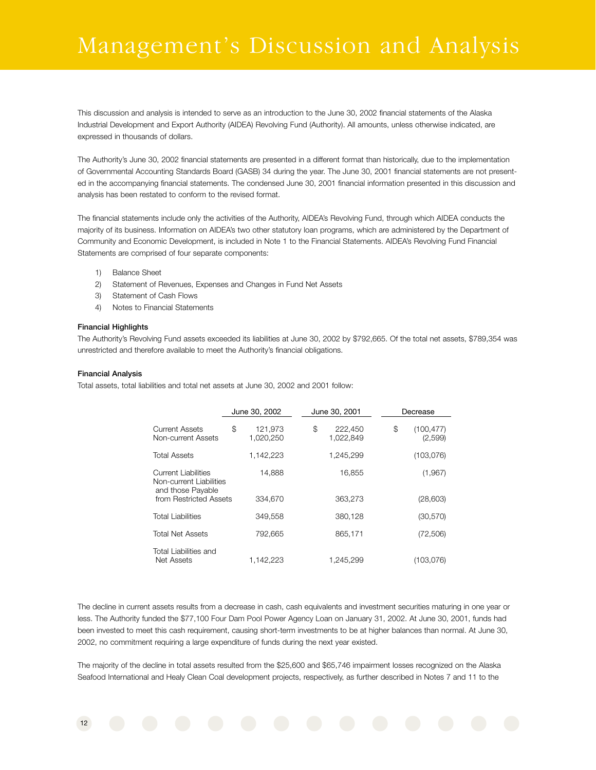# Management's Discussion and Analysis

This discussion and analysis is intended to serve as an introduction to the June 30, 2002 financial statements of the Alaska Industrial Development and Export Authority (AIDEA) Revolving Fund (Authority). All amounts, unless otherwise indicated, are expressed in thousands of dollars.

The Authority's June 30, 2002 financial statements are presented in a different format than historically, due to the implementation of Governmental Accounting Standards Board (GASB) 34 during the year. The June 30, 2001 financial statements are not presented in the accompanying financial statements. The condensed June 30, 2001 financial information presented in this discussion and analysis has been restated to conform to the revised format.

The financial statements include only the activities of the Authority, AIDEA's Revolving Fund, through which AIDEA conducts the majority of its business. Information on AIDEA's two other statutory loan programs, which are administered by the Department of Community and Economic Development, is included in Note 1 to the Financial Statements. AIDEA's Revolving Fund Financial Statements are comprised of four separate components:

- 1) Balance Sheet
- 2) Statement of Revenues, Expenses and Changes in Fund Net Assets
- 3) Statement of Cash Flows
- 4) Notes to Financial Statements

#### **Financial Highlights**

The Authority's Revolving Fund assets exceeded its liabilities at June 30, 2002 by \$792,665. Of the total net assets, \$789,354 was unrestricted and therefore available to meet the Authority's financial obligations.

#### **Financial Analysis**

Total assets, total liabilities and total net assets at June 30, 2002 and 2001 follow:

|                                                                     | June 30, 2002 |                      | June 30, 2001              |    | Decrease              |  |
|---------------------------------------------------------------------|---------------|----------------------|----------------------------|----|-----------------------|--|
| Current Assets<br>Non-current Assets                                | \$            | 121,973<br>1,020,250 | \$<br>222,450<br>1,022,849 | \$ | (100, 477)<br>(2,599) |  |
| <b>Total Assets</b>                                                 |               | 1,142,223            | 1,245,299                  |    | (103,076)             |  |
| Current Liabilities<br>Non-current Liabilities<br>and those Payable |               | 14.888               | 16.855                     |    | (1,967)               |  |
| from Restricted Assets                                              |               | 334,670              | 363.273                    |    | (28,603)              |  |
| <b>Total Liabilities</b>                                            |               | 349,558              | 380,128                    |    | (30, 570)             |  |
| <b>Total Net Assets</b>                                             |               | 792.665              | 865.171                    |    | (72,506)              |  |
| Total Liabilities and<br><b>Net Assets</b>                          |               | 1,142,223            | 1,245,299                  |    | (103,076)             |  |

The decline in current assets results from a decrease in cash, cash equivalents and investment securities maturing in one year or less. The Authority funded the \$77,100 Four Dam Pool Power Agency Loan on January 31, 2002. At June 30, 2001, funds had been invested to meet this cash requirement, causing short-term investments to be at higher balances than normal. At June 30, 2002, no commitment requiring a large expenditure of funds during the next year existed.

The majority of the decline in total assets resulted from the \$25,600 and \$65,746 impairment losses recognized on the Alaska Seafood International and Healy Clean Coal development projects, respectively, as further described in Notes 7 and 11 to the

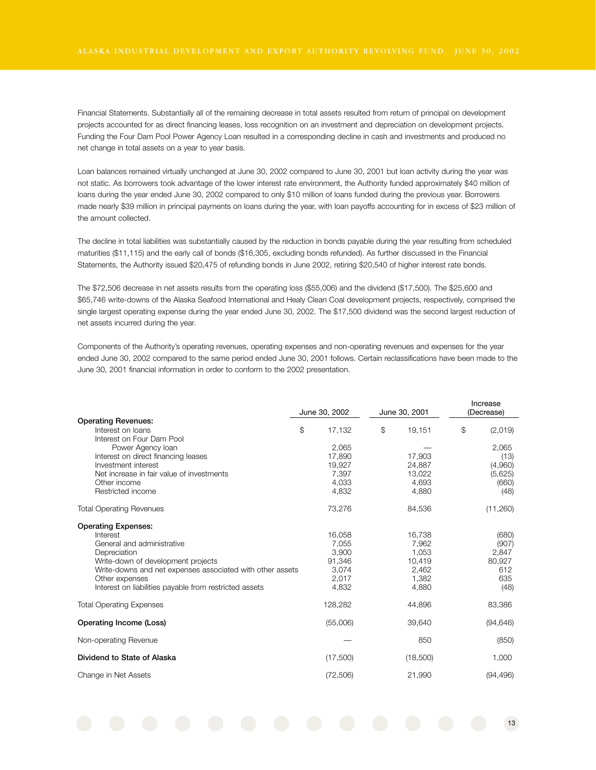Financial Statements. Substantially all of the remaining decrease in total assets resulted from return of principal on development projects accounted for as direct financing leases, loss recognition on an investment and depreciation on development projects. Funding the Four Dam Pool Power Agency Loan resulted in a corresponding decline in cash and investments and produced no net change in total assets on a year to year basis.

Loan balances remained virtually unchanged at June 30, 2002 compared to June 30, 2001 but loan activity during the year was not static. As borrowers took advantage of the lower interest rate environment, the Authority funded approximately \$40 million of loans during the year ended June 30, 2002 compared to only \$10 million of loans funded during the previous year. Borrowers made nearly \$39 million in principal payments on loans during the year, with loan payoffs accounting for in excess of \$23 million of the amount collected.

The decline in total liabilities was substantially caused by the reduction in bonds payable during the year resulting from scheduled maturities (\$11,115) and the early call of bonds (\$16,305, excluding bonds refunded). As further discussed in the Financial Statements, the Authority issued \$20,475 of refunding bonds in June 2002, retiring \$20,540 of higher interest rate bonds.

The \$72,506 decrease in net assets results from the operating loss (\$55,006) and the dividend (\$17,500). The \$25,600 and \$65,746 write-downs of the Alaska Seafood International and Healy Clean Coal development projects, respectively, comprised the single largest operating expense during the year ended June 30, 2002. The \$17,500 dividend was the second largest reduction of net assets incurred during the year.

Components of the Authority's operating revenues, operating expenses and non-operating revenues and expenses for the year ended June 30, 2002 compared to the same period ended June 30, 2001 follows. Certain reclassifications have been made to the June 30, 2001 financial information in order to conform to the 2002 presentation.

|                                                           |               |                |               | Increase      |
|-----------------------------------------------------------|---------------|----------------|---------------|---------------|
|                                                           | June 30, 2002 |                | June 30, 2001 | (Decrease)    |
| <b>Operating Revenues:</b>                                |               |                |               |               |
| Interest on loans                                         | \$<br>17,132  | $\mathfrak{S}$ | 19,151        | \$<br>(2,019) |
| Interest on Four Dam Pool                                 |               |                |               |               |
| Power Agency Ioan                                         | 2,065         |                |               | 2,065         |
| Interest on direct financing leases                       | 17,890        |                | 17,903        | (13)          |
| Investment interest                                       | 19,927        |                | 24,887        | (4,960)       |
| Net increase in fair value of investments                 | 7,397         |                | 13,022        | (5,625)       |
| Other income                                              | 4,033         |                | 4,693         | (660)         |
| Restricted income                                         | 4,832         |                | 4,880         | (48)          |
| <b>Total Operating Revenues</b>                           | 73,276        |                | 84,536        | (11,260)      |
| <b>Operating Expenses:</b>                                |               |                |               |               |
| Interest                                                  | 16,058        |                | 16,738        | (680)         |
| General and administrative                                | 7,055         |                | 7,962         | (907)         |
| Depreciation                                              | 3,900         |                | 1,053         | 2,847         |
| Write-down of development projects                        | 91,346        |                | 10,419        | 80,927        |
| Write-downs and net expenses associated with other assets | 3,074         |                | 2,462         | 612           |
| Other expenses                                            | 2,017         |                | 1.382         | 635           |
| Interest on liabilities payable from restricted assets    | 4,832         |                | 4,880         | (48)          |
| <b>Total Operating Expenses</b>                           | 128,282       |                | 44,896        | 83,386        |
| Operating Income (Loss)                                   | (55,006)      |                | 39,640        | (94, 646)     |
| Non-operating Revenue                                     |               |                | 850           | (850)         |
| Dividend to State of Alaska                               | (17,500)      |                | (18,500)      | 1,000         |
| Change in Net Assets                                      | (72, 506)     |                | 21,990        | (94, 496)     |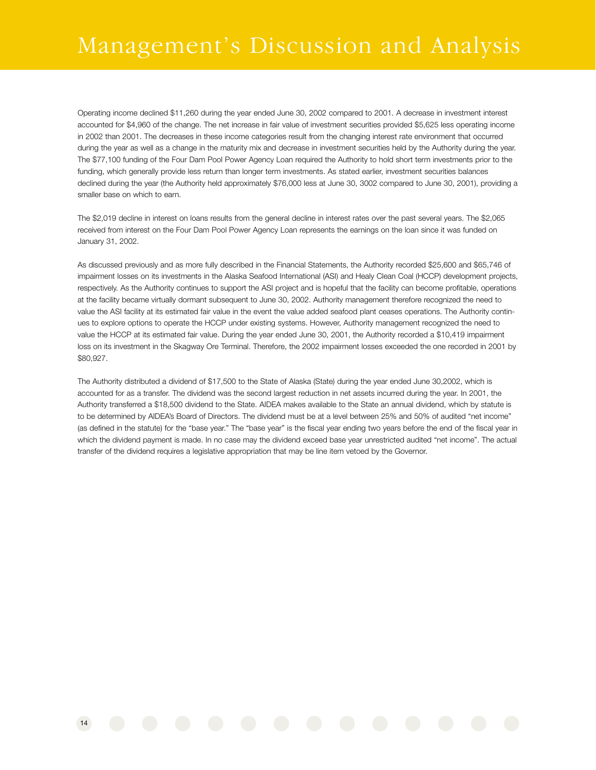Operating income declined \$11,260 during the year ended June 30, 2002 compared to 2001. A decrease in investment interest accounted for \$4,960 of the change. The net increase in fair value of investment securities provided \$5,625 less operating income in 2002 than 2001. The decreases in these income categories result from the changing interest rate environment that occurred during the year as well as a change in the maturity mix and decrease in investment securities held by the Authority during the year. The \$77,100 funding of the Four Dam Pool Power Agency Loan required the Authority to hold short term investments prior to the funding, which generally provide less return than longer term investments. As stated earlier, investment securities balances declined during the year (the Authority held approximately \$76,000 less at June 30, 3002 compared to June 30, 2001), providing a smaller base on which to earn.

The \$2,019 decline in interest on loans results from the general decline in interest rates over the past several years. The \$2,065 received from interest on the Four Dam Pool Power Agency Loan represents the earnings on the loan since it was funded on January 31, 2002.

As discussed previously and as more fully described in the Financial Statements, the Authority recorded \$25,600 and \$65,746 of impairment losses on its investments in the Alaska Seafood International (ASI) and Healy Clean Coal (HCCP) development projects, respectively. As the Authority continues to support the ASI project and is hopeful that the facility can become profitable, operations at the facility became virtually dormant subsequent to June 30, 2002. Authority management therefore recognized the need to value the ASI facility at its estimated fair value in the event the value added seafood plant ceases operations. The Authority continues to explore options to operate the HCCP under existing systems. However, Authority management recognized the need to value the HCCP at its estimated fair value. During the year ended June 30, 2001, the Authority recorded a \$10,419 impairment loss on its investment in the Skagway Ore Terminal. Therefore, the 2002 impairment losses exceeded the one recorded in 2001 by \$80,927.

The Authority distributed a dividend of \$17,500 to the State of Alaska (State) during the year ended June 30,2002, which is accounted for as a transfer. The dividend was the second largest reduction in net assets incurred during the year. In 2001, the Authority transferred a \$18,500 dividend to the State. AIDEA makes available to the State an annual dividend, which by statute is to be determined by AIDEA's Board of Directors. The dividend must be at a level between 25% and 50% of audited "net income" (as defined in the statute) for the "base year." The "base year" is the fiscal year ending two years before the end of the fiscal year in which the dividend payment is made. In no case may the dividend exceed base year unrestricted audited "net income". The actual transfer of the dividend requires a legislative appropriation that may be line item vetoed by the Governor.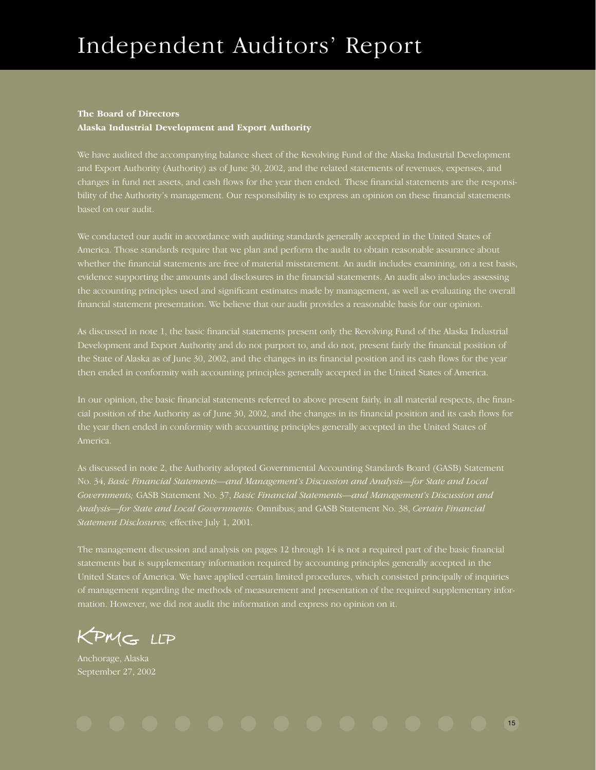#### **The Board of Directors**

**Alaska Industrial Development and Export Authority**

We have audited the accompanying balance sheet of the Revolving Fund of the Alaska Industrial Development and Export Authority (Authority) as of June 30, 2002, and the related statements of revenues, expenses, and changes in fund net assets, and cash flows for the year then ended. These financial statements are the responsibility of the Authority's management. Our responsibility is to express an opinion on these financial statements

We conducted our audit in accordance with auditing standards generally accepted in the United States of America. Those standards require that we plan and perform the audit to obtain reasonable assurance about whether the financial statements are free of material misstatement. An audit includes examining, on a test basis, evidence supporting the amounts and disclosures in the financial statements. An audit also includes assessing the accounting principles used and significant estimates made by management, as well as evaluating the overall financial statement presentation. We believe that our audit provides a reasonable basis for our opinion.

As discussed in note 1, the basic financial statements present only the Revolving Fund of the Alaska Industrial Development and Export Authority and do not purport to, and do not, present fairly the financial position of the State of Alaska as of June 30, 2002, and the changes in its financial position and its cash flows for the year then ended in conformity with accounting principles generally accepted in the United States of America.

In our opinion, the basic financial statements referred to above present fairly, in all material respects, the financial position of the Authority as of June 30, 2002, and the changes in its financial position and its cash flows for the year then ended in conformity with accounting principles generally accepted in the United States of America.

As discussed in note 2, the Authority adopted Governmental Accounting Standards Board (GASB) Statement No. 34, *Basic Financial Statements—and Management's Discussion and Analysis—for State and Local Governments;* GASB Statement No. 37, *Basic Financial Statements—and Management's Discussion and Analysis—for State and Local Governments:* Omnibus; and GASB Statement No. 38, *Certain Financial Statement Disclosures;* effective July 1, 2001.

The management discussion and analysis on pages 12 through 14 is not a required part of the basic financial statements but is supplementary information required by accounting principles generally accepted in the United States of America. We have applied certain limited procedures, which consisted principally of inquiries of management regarding the methods of measurement and presentation of the required supplementary information. However, we did not audit the information and express no opinion on it.

KPMC- LLP

Anchorage, Alaska September 27, 2002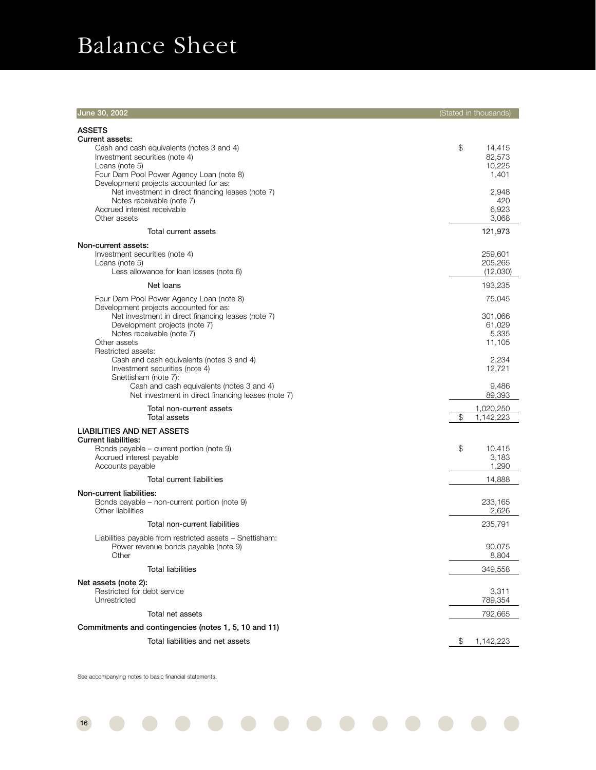# Balance Sheet

| June 30, 2002                                                                                                                                                                                                        | (Stated in thousands)                   |
|----------------------------------------------------------------------------------------------------------------------------------------------------------------------------------------------------------------------|-----------------------------------------|
| <b>ASSETS</b><br><b>Current assets:</b><br>Cash and cash equivalents (notes 3 and 4)<br>Investment securities (note 4)<br>Loans (note 5)                                                                             | \$<br>14,415<br>82,573<br>10,225        |
| Four Dam Pool Power Agency Loan (note 8)<br>Development projects accounted for as:<br>Net investment in direct financing leases (note 7)<br>Notes receivable (note 7)<br>Accrued interest receivable<br>Other assets | 1,401<br>2,948<br>420<br>6,923<br>3,068 |
| Total current assets                                                                                                                                                                                                 | 121,973                                 |
| Non-current assets:<br>Investment securities (note 4)<br>Loans (note 5)<br>Less allowance for loan losses (note 6)                                                                                                   | 259,601<br>205,265<br>(12,030)          |
| Net loans                                                                                                                                                                                                            | 193,235                                 |
| Four Dam Pool Power Agency Loan (note 8)                                                                                                                                                                             | 75,045                                  |
| Development projects accounted for as:<br>Net investment in direct financing leases (note 7)<br>Development projects (note 7)<br>Notes receivable (note 7)<br>Other assets                                           | 301,066<br>61,029<br>5,335<br>11,105    |
| Restricted assets:<br>Cash and cash equivalents (notes 3 and 4)<br>Investment securities (note 4)<br>Snettisham (note 7):                                                                                            | 2,234<br>12,721                         |
| Cash and cash equivalents (notes 3 and 4)<br>Net investment in direct financing leases (note 7)                                                                                                                      | 9,486<br>89,393                         |
| Total non-current assets<br>Total assets                                                                                                                                                                             | \$<br>1,020,250<br>1,142,223            |
| <b>LIABILITIES AND NET ASSETS</b><br><b>Current liabilities:</b><br>Bonds payable – current portion (note 9)                                                                                                         | \$<br>10,415                            |
| Accrued interest payable<br>Accounts payable                                                                                                                                                                         | 3,183<br>1,290                          |
| Total current liabilities                                                                                                                                                                                            | 14,888                                  |
| Non-current liabilities:<br>Bonds payable - non-current portion (note 9)<br>Other liabilities                                                                                                                        | 233,165<br>2,626                        |
| Total non-current liabilities                                                                                                                                                                                        | 235,791                                 |
| Liabilities payable from restricted assets – Snettisham:<br>Power revenue bonds payable (note 9)<br>Other                                                                                                            | 90,075<br>8,804                         |
| <b>Total liabilities</b>                                                                                                                                                                                             | 349,558                                 |
| Net assets (note 2):<br>Restricted for debt service<br>Unrestricted                                                                                                                                                  | 3,311<br>789,354                        |
| Total net assets                                                                                                                                                                                                     | 792,665                                 |
| Commitments and contingencies (notes 1, 5, 10 and 11)                                                                                                                                                                |                                         |
| Total liabilities and net assets                                                                                                                                                                                     | \$<br>1,142,223                         |

 $\bullet$ 

See accompanying notes to basic financial statements.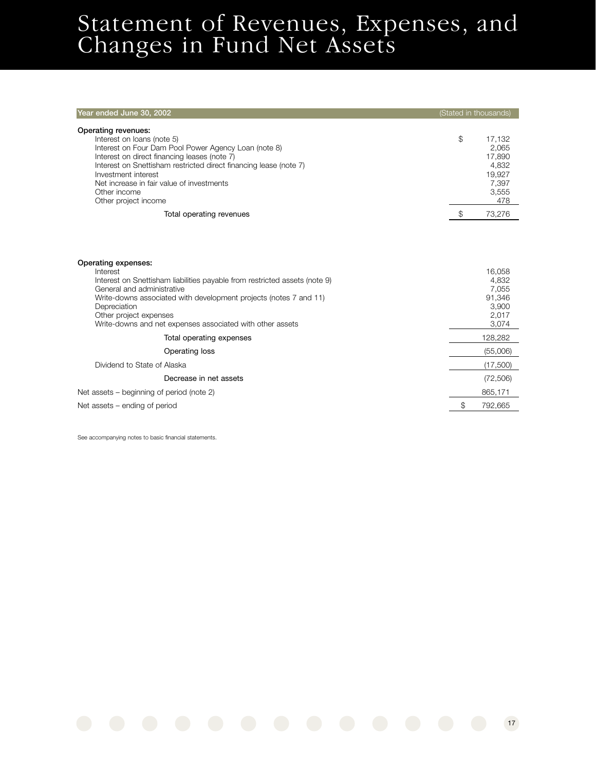## Statement of Revenues, Expenses, and Changes in Fund Net Assets

| Year ended June 30, 2002                                                                                                                                                                                                                                                                                                                                               | (Stated in thousands)                                                                       |
|------------------------------------------------------------------------------------------------------------------------------------------------------------------------------------------------------------------------------------------------------------------------------------------------------------------------------------------------------------------------|---------------------------------------------------------------------------------------------|
| Operating revenues:<br>Interest on loans (note 5)<br>Interest on Four Dam Pool Power Agency Loan (note 8)<br>Interest on direct financing leases (note 7)<br>Interest on Snettisham restricted direct financing lease (note 7)<br>Investment interest<br>Net increase in fair value of investments<br>Other income<br>Other project income<br>Total operating revenues | \$<br>17,132<br>2,065<br>17,890<br>4,832<br>19,927<br>7,397<br>3,555<br>478<br>\$<br>73,276 |
| Operating expenses:<br>Interest<br>Interest on Snettisham liabilities payable from restricted assets (note 9)<br>General and administrative<br>Write-downs associated with development projects (notes 7 and 11)<br>Depreciation<br>Other project expenses<br>Write-downs and net expenses associated with other assets                                                | 16.058<br>4,832<br>7,055<br>91,346<br>3,900<br>2,017<br>3,074                               |
| Total operating expenses                                                                                                                                                                                                                                                                                                                                               | 128,282                                                                                     |
| Operating loss                                                                                                                                                                                                                                                                                                                                                         | (55,006)                                                                                    |
| Dividend to State of Alaska                                                                                                                                                                                                                                                                                                                                            | (17,500)                                                                                    |
| Decrease in net assets                                                                                                                                                                                                                                                                                                                                                 | (72, 506)                                                                                   |
| Net assets – beginning of period (note 2)                                                                                                                                                                                                                                                                                                                              | 865,171                                                                                     |
| Net assets – ending of period                                                                                                                                                                                                                                                                                                                                          | \$<br>792,665                                                                               |

See accompanying notes to basic financial statements.

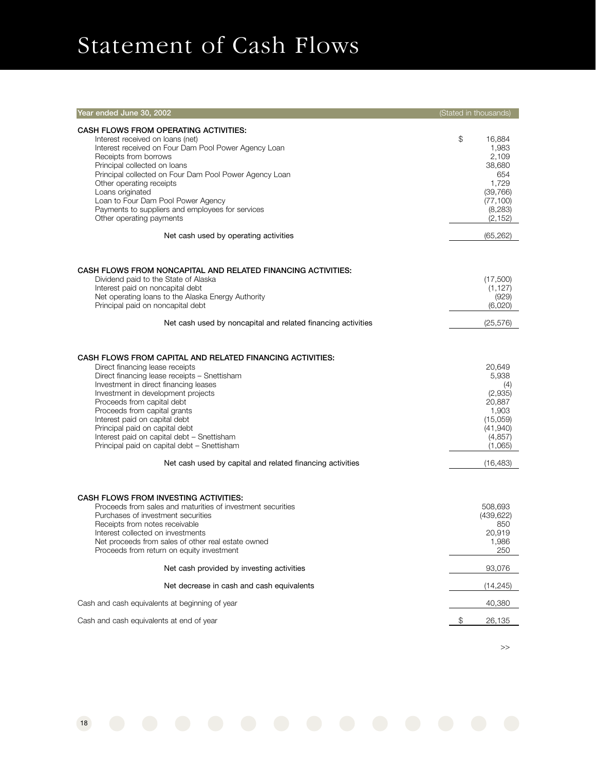# Statement of Cash Flows

18

| Year ended June 30, 2002                                                                                                                                                                                                                                                                                                                                                                                                                                                                                               | (Stated in thousands) |                                                                                                                  |
|------------------------------------------------------------------------------------------------------------------------------------------------------------------------------------------------------------------------------------------------------------------------------------------------------------------------------------------------------------------------------------------------------------------------------------------------------------------------------------------------------------------------|-----------------------|------------------------------------------------------------------------------------------------------------------|
| <b>CASH FLOWS FROM OPERATING ACTIVITIES:</b><br>Interest received on loans (net)<br>Interest received on Four Dam Pool Power Agency Loan<br>Receipts from borrows<br>Principal collected on loans<br>Principal collected on Four Dam Pool Power Agency Loan<br>Other operating receipts<br>Loans originated<br>Loan to Four Dam Pool Power Agency<br>Payments to suppliers and employees for services<br>Other operating payments                                                                                      | \$                    | 16,884<br>1,983<br>2,109<br>38,680<br>654<br>1,729<br>(39, 766)<br>(77, 100)<br>(8,283)<br>(2, 152)              |
| Net cash used by operating activities                                                                                                                                                                                                                                                                                                                                                                                                                                                                                  |                       | (65, 262)                                                                                                        |
| CASH FLOWS FROM NONCAPITAL AND RELATED FINANCING ACTIVITIES:<br>Dividend paid to the State of Alaska<br>Interest paid on noncapital debt<br>Net operating loans to the Alaska Energy Authority<br>Principal paid on noncapital debt                                                                                                                                                                                                                                                                                    |                       | (17,500)<br>(1, 127)<br>(929)<br>(6,020)                                                                         |
| Net cash used by noncapital and related financing activities                                                                                                                                                                                                                                                                                                                                                                                                                                                           |                       | (25, 576)                                                                                                        |
| CASH FLOWS FROM CAPITAL AND RELATED FINANCING ACTIVITIES:<br>Direct financing lease receipts<br>Direct financing lease receipts - Snettisham<br>Investment in direct financing leases<br>Investment in development projects<br>Proceeds from capital debt<br>Proceeds from capital grants<br>Interest paid on capital debt<br>Principal paid on capital debt<br>Interest paid on capital debt - Snettisham<br>Principal paid on capital debt - Snettisham<br>Net cash used by capital and related financing activities |                       | 20.649<br>5,938<br>(4)<br>(2,935)<br>20,887<br>1,903<br>(15,059)<br>(41,940)<br>(4, 857)<br>(1,065)<br>(16, 483) |
| CASH FLOWS FROM INVESTING ACTIVITIES:<br>Proceeds from sales and maturities of investment securities<br>Purchases of investment securities<br>Receipts from notes receivable<br>Interest collected on investments<br>Net proceeds from sales of other real estate owned<br>Proceeds from return on equity investment<br>Net cash provided by investing activities<br>Net decrease in cash and cash equivalents                                                                                                         |                       | 508,693<br>(439, 622)<br>850<br>20,919<br>1,986<br>250<br>93,076<br>(14, 245)                                    |
| Cash and cash equivalents at beginning of year                                                                                                                                                                                                                                                                                                                                                                                                                                                                         |                       | 40,380                                                                                                           |
| Cash and cash equivalents at end of year                                                                                                                                                                                                                                                                                                                                                                                                                                                                               | \$                    | 26,135                                                                                                           |
|                                                                                                                                                                                                                                                                                                                                                                                                                                                                                                                        |                       |                                                                                                                  |

>>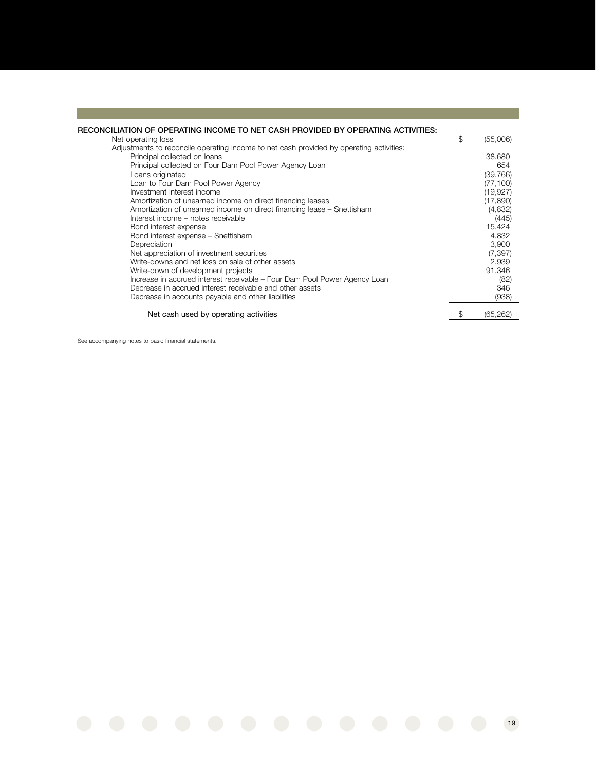| RECONCILIATION OF OPERATING INCOME TO NET CASH PROVIDED BY OPERATING ACTIVITIES:<br>Net operating loss<br>Adjustments to reconcile operating income to net cash provided by operating activities:<br>Principal collected on loans<br>Principal collected on Four Dam Pool Power Agency Loan<br>Loans originated<br>Loan to Four Dam Pool Power Agency<br>Investment interest income<br>Amortization of unearned income on direct financing leases<br>Amortization of unearned income on direct financing lease – Snettisham<br>Interest income - notes receivable<br>Bond interest expense | \$<br>(55,006)<br>38,680<br>654<br>(39, 766)<br>(77, 100)<br>(19, 927)<br>(17,890)<br>(4,832)<br>(445)<br>15,424 |
|--------------------------------------------------------------------------------------------------------------------------------------------------------------------------------------------------------------------------------------------------------------------------------------------------------------------------------------------------------------------------------------------------------------------------------------------------------------------------------------------------------------------------------------------------------------------------------------------|------------------------------------------------------------------------------------------------------------------|
| Bond interest expense - Snettisham<br>Depreciation<br>Net appreciation of investment securities<br>Write-downs and net loss on sale of other assets<br>Write-down of development projects<br>Increase in accrued interest receivable - Four Dam Pool Power Agency Loan<br>Decrease in accrued interest receivable and other assets<br>Decrease in accounts payable and other liabilities                                                                                                                                                                                                   | 4,832<br>3,900<br>(7, 397)<br>2,939<br>91,346<br>(82)<br>346<br>(938)                                            |
| Net cash used by operating activities                                                                                                                                                                                                                                                                                                                                                                                                                                                                                                                                                      | (65, 262)                                                                                                        |

See accompanying notes to basic financial statements.

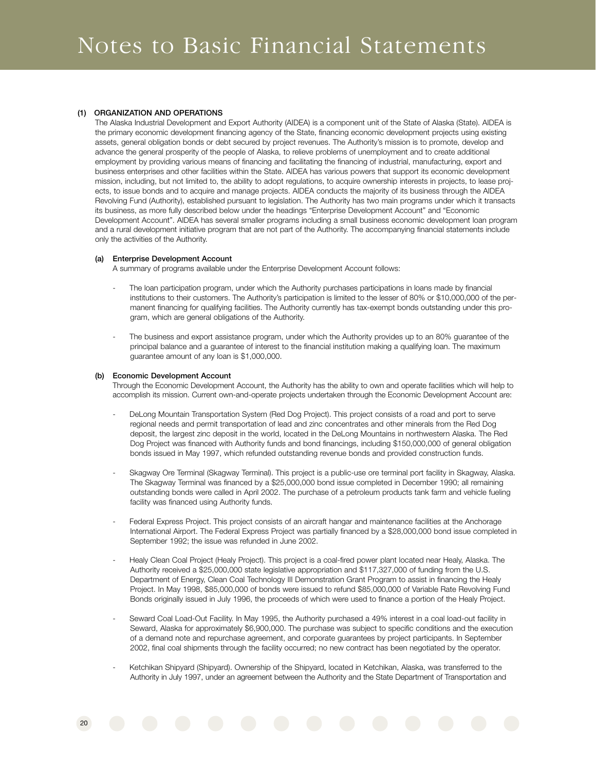#### **(1) ORGANIZATION AND OPERATIONS**

The Alaska Industrial Development and Export Authority (AIDEA) is a component unit of the State of Alaska (State). AIDEA is the primary economic development financing agency of the State, financing economic development projects using existing assets, general obligation bonds or debt secured by project revenues. The Authority's mission is to promote, develop and advance the general prosperity of the people of Alaska, to relieve problems of unemployment and to create additional employment by providing various means of financing and facilitating the financing of industrial, manufacturing, export and business enterprises and other facilities within the State. AIDEA has various powers that support its economic development mission, including, but not limited to, the ability to adopt regulations, to acquire ownership interests in projects, to lease projects, to issue bonds and to acquire and manage projects. AIDEA conducts the majority of its business through the AIDEA Revolving Fund (Authority), established pursuant to legislation. The Authority has two main programs under which it transacts its business, as more fully described below under the headings "Enterprise Development Account" and "Economic Development Account". AIDEA has several smaller programs including a small business economic development loan program and a rural development initiative program that are not part of the Authority. The accompanying financial statements include only the activities of the Authority.

#### **(a) Enterprise Development Account**

A summary of programs available under the Enterprise Development Account follows:

- The loan participation program, under which the Authority purchases participations in loans made by financial institutions to their customers. The Authority's participation is limited to the lesser of 80% or \$10,000,000 of the permanent financing for qualifying facilities. The Authority currently has tax-exempt bonds outstanding under this program, which are general obligations of the Authority.
- The business and export assistance program, under which the Authority provides up to an 80% guarantee of the principal balance and a guarantee of interest to the financial institution making a qualifying loan. The maximum guarantee amount of any loan is \$1,000,000.

#### **(b) Economic Development Account**

Through the Economic Development Account, the Authority has the ability to own and operate facilities which will help to accomplish its mission. Current own-and-operate projects undertaken through the Economic Development Account are:

- DeLong Mountain Transportation System (Red Dog Project). This project consists of a road and port to serve regional needs and permit transportation of lead and zinc concentrates and other minerals from the Red Dog deposit, the largest zinc deposit in the world, located in the DeLong Mountains in northwestern Alaska. The Red Dog Project was financed with Authority funds and bond financings, including \$150,000,000 of general obligation bonds issued in May 1997, which refunded outstanding revenue bonds and provided construction funds.
- Skagway Ore Terminal (Skagway Terminal). This project is a public-use ore terminal port facility in Skagway, Alaska. The Skagway Terminal was financed by a \$25,000,000 bond issue completed in December 1990; all remaining outstanding bonds were called in April 2002. The purchase of a petroleum products tank farm and vehicle fueling facility was financed using Authority funds.
- Federal Express Project. This project consists of an aircraft hangar and maintenance facilities at the Anchorage International Airport. The Federal Express Project was partially financed by a \$28,000,000 bond issue completed in September 1992; the issue was refunded in June 2002.
- Healy Clean Coal Project (Healy Project). This project is a coal-fired power plant located near Healy, Alaska. The Authority received a \$25,000,000 state legislative appropriation and \$117,327,000 of funding from the U.S. Department of Energy, Clean Coal Technology III Demonstration Grant Program to assist in financing the Healy Project. In May 1998, \$85,000,000 of bonds were issued to refund \$85,000,000 of Variable Rate Revolving Fund Bonds originally issued in July 1996, the proceeds of which were used to finance a portion of the Healy Project.
- Seward Coal Load-Out Facility. In May 1995, the Authority purchased a 49% interest in a coal load-out facility in Seward, Alaska for approximately \$6,900,000. The purchase was subject to specific conditions and the execution of a demand note and repurchase agreement, and corporate guarantees by project participants. In September 2002, final coal shipments through the facility occurred; no new contract has been negotiated by the operator.
- Ketchikan Shipyard (Shipyard). Ownership of the Shipyard, located in Ketchikan, Alaska, was transferred to the Authority in July 1997, under an agreement between the Authority and the State Department of Transportation and

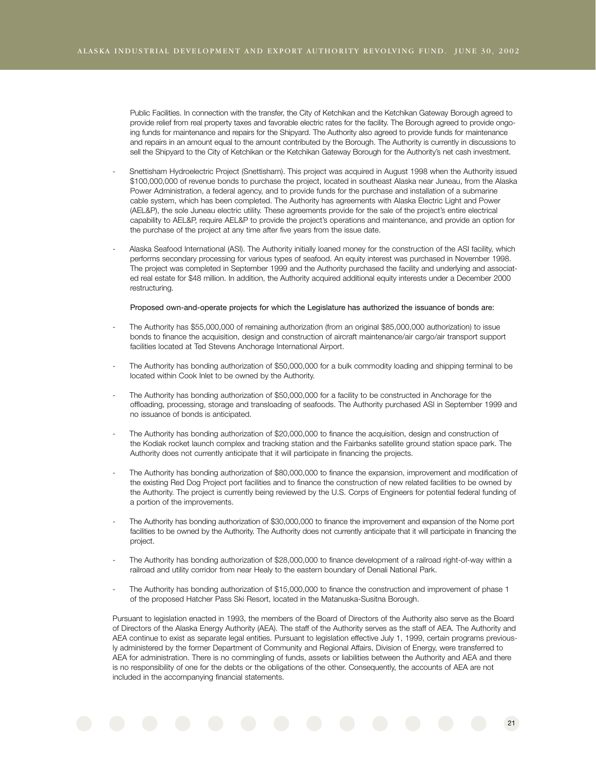Public Facilities. In connection with the transfer, the City of Ketchikan and the Ketchikan Gateway Borough agreed to provide relief from real property taxes and favorable electric rates for the facility. The Borough agreed to provide ongoing funds for maintenance and repairs for the Shipyard. The Authority also agreed to provide funds for maintenance and repairs in an amount equal to the amount contributed by the Borough. The Authority is currently in discussions to sell the Shipvard to the City of Ketchikan or the Ketchikan Gateway Borough for the Authority's net cash investment.

- Snettisham Hydroelectric Project (Snettisham). This project was acquired in August 1998 when the Authority issued \$100,000,000 of revenue bonds to purchase the project, located in southeast Alaska near Juneau, from the Alaska Power Administration, a federal agency, and to provide funds for the purchase and installation of a submarine cable system, which has been completed. The Authority has agreements with Alaska Electric Light and Power (AEL&P), the sole Juneau electric utility. These agreements provide for the sale of the project's entire electrical capability to AEL&P, require AEL&P to provide the project's operations and maintenance, and provide an option for the purchase of the project at any time after five years from the issue date.
- Alaska Seafood International (ASI). The Authority initially loaned money for the construction of the ASI facility, which performs secondary processing for various types of seafood. An equity interest was purchased in November 1998. The project was completed in September 1999 and the Authority purchased the facility and underlying and associated real estate for \$48 million. In addition, the Authority acquired additional equity interests under a December 2000 restructuring.

#### Proposed own-and-operate projects for which the Legislature has authorized the issuance of bonds are:

- The Authority has \$55,000,000 of remaining authorization (from an original \$85,000,000 authorization) to issue bonds to finance the acquisition, design and construction of aircraft maintenance/air cargo/air transport support facilities located at Ted Stevens Anchorage International Airport.
- The Authority has bonding authorization of \$50,000,000 for a bulk commodity loading and shipping terminal to be located within Cook Inlet to be owned by the Authority.
- The Authority has bonding authorization of \$50,000,000 for a facility to be constructed in Anchorage for the offloading, processing, storage and transloading of seafoods. The Authority purchased ASI in September 1999 and no issuance of bonds is anticipated.
- The Authority has bonding authorization of \$20,000,000 to finance the acquisition, design and construction of the Kodiak rocket launch complex and tracking station and the Fairbanks satellite ground station space park. The Authority does not currently anticipate that it will participate in financing the projects.
- The Authority has bonding authorization of \$80,000,000 to finance the expansion, improvement and modification of the existing Red Dog Project port facilities and to finance the construction of new related facilities to be owned by the Authority. The project is currently being reviewed by the U.S. Corps of Engineers for potential federal funding of a portion of the improvements.
- The Authority has bonding authorization of \$30,000,000 to finance the improvement and expansion of the Nome port facilities to be owned by the Authority. The Authority does not currently anticipate that it will participate in financing the project.
- The Authority has bonding authorization of \$28,000,000 to finance development of a railroad right-of-way within a railroad and utility corridor from near Healy to the eastern boundary of Denali National Park.
- The Authority has bonding authorization of \$15,000,000 to finance the construction and improvement of phase 1 of the proposed Hatcher Pass Ski Resort, located in the Matanuska-Susitna Borough.

Pursuant to legislation enacted in 1993, the members of the Board of Directors of the Authority also serve as the Board of Directors of the Alaska Energy Authority (AEA). The staff of the Authority serves as the staff of AEA. The Authority and AEA continue to exist as separate legal entities. Pursuant to legislation effective July 1, 1999, certain programs previously administered by the former Department of Community and Regional Affairs, Division of Energy, were transferred to AEA for administration. There is no commingling of funds, assets or liabilities between the Authority and AEA and there is no responsibility of one for the debts or the obligations of the other. Consequently, the accounts of AEA are not included in the accompanying financial statements.

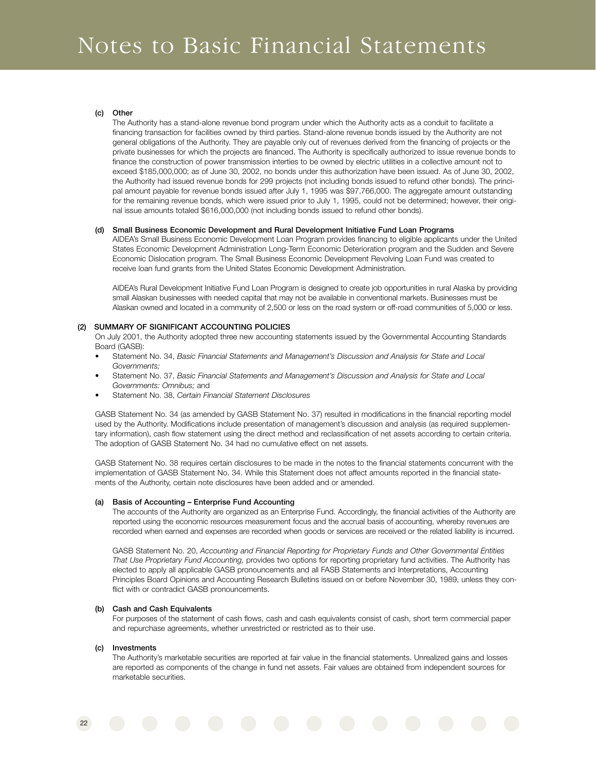#### **(c) Other**

The Authority has a stand-alone revenue bond program under which the Authority acts as a conduit to facilitate a financing transaction for facilities owned by third parties. Stand-alone revenue bonds issued by the Authority are not general obligations of the Authority. They are payable only out of revenues derived from the financing of projects or the private businesses for which the projects are financed. The Authority is specifically authorized to issue revenue bonds to finance the construction of power transmission interties to be owned by electric utilities in a collective amount not to exceed \$185,000,000; as of June 30, 2002, no bonds under this authorization have been issued. As of June 30, 2002, the Authority had issued revenue bonds for 299 projects (not including bonds issued to refund other bonds). The principal amount payable for revenue bonds issued after July 1, 1995 was \$97,766,000. The aggregate amount outstanding for the remaining revenue bonds, which were issued prior to July 1, 1995, could not be determined; however, their original issue amounts totaled \$616,000,000 (not including bonds issued to refund other bonds).

#### **(d) Small Business Economic Development and Rural Development Initiative Fund Loan Programs**

AIDEA's Small Business Economic Development Loan Program provides financing to eligible applicants under the United States Economic Development Administration Long-Term Economic Deterioration program and the Sudden and Severe Economic Dislocation program. The Small Business Economic Development Revolving Loan Fund was created to receive loan fund grants from the United States Economic Development Administration.

AIDEA's Rural Development Initiative Fund Loan Program is designed to create job opportunities in rural Alaska by providing small Alaskan businesses with needed capital that may not be available in conventional markets. Businesses must be Alaskan owned and located in a community of 2,500 or less on the road system or off-road communities of 5,000 or less.

#### **(2) SUMMARY OF SIGNIFICANT ACCOUNTING POLICIES**

On July 2001, the Authority adopted three new accounting statements issued by the Governmental Accounting Standards Board (GASB):

- Statement No. 34, *Basic Financial Statements and Management's Discussion and Analysis for State and Local Governments;*
- Statement No. 37, *Basic Financial Statements and Management's Discussion and Analysis for State and Local Governments: Omnibus;* and
- Statement No. 38, *Certain Financial Statement Disclosures*

GASB Statement No. 34 (as amended by GASB Statement No. 37) resulted in modifications in the financial reporting model used by the Authority. Modifications include presentation of management's discussion and analysis (as required supplementary information), cash flow statement using the direct method and reclassification of net assets according to certain criteria. The adoption of GASB Statement No. 34 had no cumulative effect on net assets.

GASB Statement No. 38 requires certain disclosures to be made in the notes to the financial statements concurrent with the implementation of GASB Statement No. 34. While this Statement does not affect amounts reported in the financial statements of the Authority, certain note disclosures have been added and or amended.

#### **(a) Basis of Accounting – Enterprise Fund Accounting**

The accounts of the Authority are organized as an Enterprise Fund. Accordingly, the financial activities of the Authority are reported using the economic resources measurement focus and the accrual basis of accounting, whereby revenues are recorded when earned and expenses are recorded when goods or services are received or the related liability is incurred.

GASB Statement No. 20, *Accounting and Financial Reporting for Proprietary Funds and Other Governmental Entities That Use Proprietary Fund Accounting,* provides two options for reporting proprietary fund activities. The Authority has elected to apply all applicable GASB pronouncements and all FASB Statements and Interpretations, Accounting Principles Board Opinions and Accounting Research Bulletins issued on or before November 30, 1989, unless they conflict with or contradict GASB pronouncements.

#### **(b) Cash and Cash Equivalents**

For purposes of the statement of cash flows, cash and cash equivalents consist of cash, short term commercial paper and repurchase agreements, whether unrestricted or restricted as to their use.

#### **(c) Investments**

The Authority's marketable securities are reported at fair value in the financial statements. Unrealized gains and losses are reported as components of the change in fund net assets. Fair values are obtained from independent sources for marketable securities.

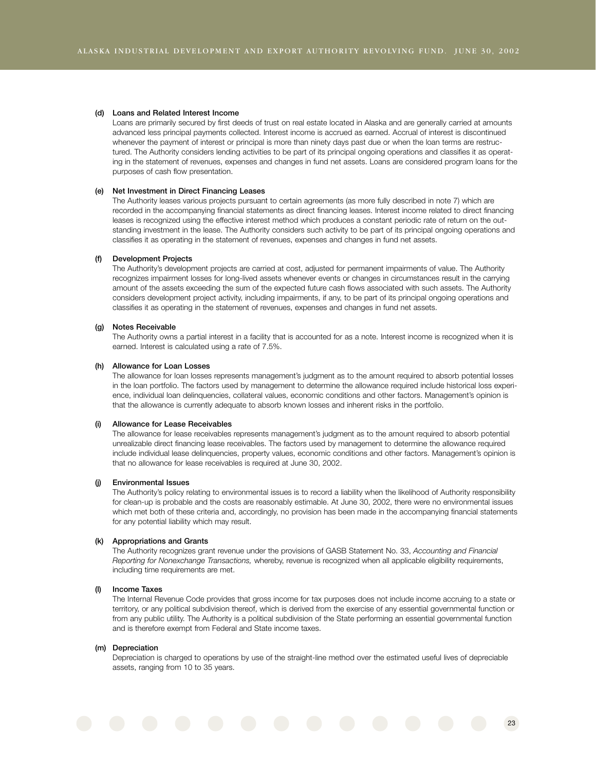#### **(d) Loans and Related Interest Income**

Loans are primarily secured by first deeds of trust on real estate located in Alaska and are generally carried at amounts advanced less principal payments collected. Interest income is accrued as earned. Accrual of interest is discontinued whenever the payment of interest or principal is more than ninety days past due or when the loan terms are restructured. The Authority considers lending activities to be part of its principal ongoing operations and classifies it as operating in the statement of revenues, expenses and changes in fund net assets. Loans are considered program loans for the purposes of cash flow presentation.

#### **(e) Net Investment in Direct Financing Leases**

The Authority leases various projects pursuant to certain agreements (as more fully described in note 7) which are recorded in the accompanying financial statements as direct financing leases. Interest income related to direct financing leases is recognized using the effective interest method which produces a constant periodic rate of return on the outstanding investment in the lease. The Authority considers such activity to be part of its principal ongoing operations and classifies it as operating in the statement of revenues, expenses and changes in fund net assets.

#### **(f) Development Projects**

The Authority's development projects are carried at cost, adjusted for permanent impairments of value. The Authority recognizes impairment losses for long-lived assets whenever events or changes in circumstances result in the carrying amount of the assets exceeding the sum of the expected future cash flows associated with such assets. The Authority considers development project activity, including impairments, if any, to be part of its principal ongoing operations and classifies it as operating in the statement of revenues, expenses and changes in fund net assets.

#### **(g) Notes Receivable**

The Authority owns a partial interest in a facility that is accounted for as a note. Interest income is recognized when it is earned. Interest is calculated using a rate of 7.5%.

#### **(h) Allowance for Loan Losses**

The allowance for loan losses represents management's judgment as to the amount required to absorb potential losses in the loan portfolio. The factors used by management to determine the allowance required include historical loss experience, individual loan delinquencies, collateral values, economic conditions and other factors. Management's opinion is that the allowance is currently adequate to absorb known losses and inherent risks in the portfolio.

#### **(i) Allowance for Lease Receivables**

The allowance for lease receivables represents management's judgment as to the amount required to absorb potential unrealizable direct financing lease receivables. The factors used by management to determine the allowance required include individual lease delinquencies, property values, economic conditions and other factors. Management's opinion is that no allowance for lease receivables is required at June 30, 2002.

#### **(j) Environmental Issues**

The Authority's policy relating to environmental issues is to record a liability when the likelihood of Authority responsibility for clean-up is probable and the costs are reasonably estimable. At June 30, 2002, there were no environmental issues which met both of these criteria and, accordingly, no provision has been made in the accompanying financial statements for any potential liability which may result.

#### **(k) Appropriations and Grants**

The Authority recognizes grant revenue under the provisions of GASB Statement No. 33, *Accounting and Financial Reporting for Nonexchange Transactions,* whereby, revenue is recognized when all applicable eligibility requirements, including time requirements are met.

#### **(l) Income Taxes**

The Internal Revenue Code provides that gross income for tax purposes does not include income accruing to a state or territory, or any political subdivision thereof, which is derived from the exercise of any essential governmental function or from any public utility. The Authority is a political subdivision of the State performing an essential governmental function and is therefore exempt from Federal and State income taxes.

#### **(m) Depreciation**

Depreciation is charged to operations by use of the straight-line method over the estimated useful lives of depreciable assets, ranging from 10 to 35 years.

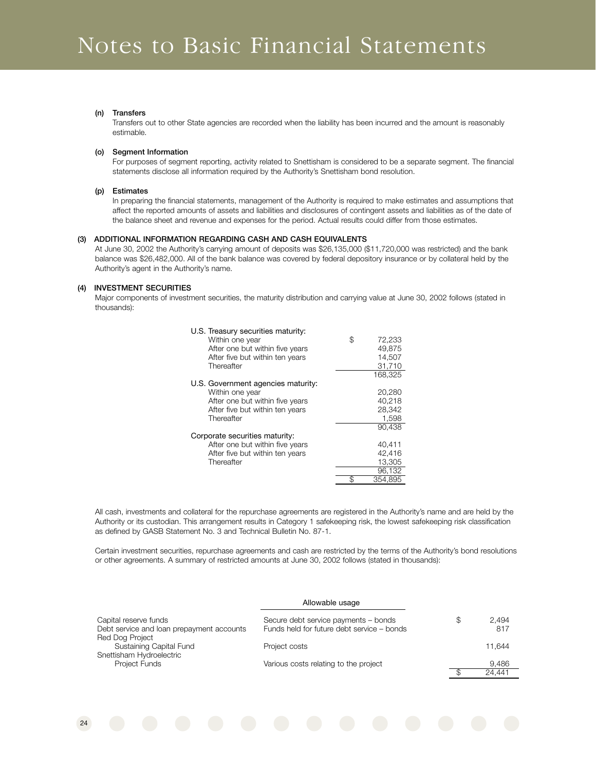#### **(n) Transfers**

Transfers out to other State agencies are recorded when the liability has been incurred and the amount is reasonably estimable.

#### **(o) Segment Information**

For purposes of segment reporting, activity related to Snettisham is considered to be a separate segment. The financial statements disclose all information required by the Authority's Snettisham bond resolution.

#### **(p) Estimates**

In preparing the financial statements, management of the Authority is required to make estimates and assumptions that affect the reported amounts of assets and liabilities and disclosures of contingent assets and liabilities as of the date of the balance sheet and revenue and expenses for the period. Actual results could differ from those estimates.

#### **(3) ADDITIONAL INFORMATION REGARDING CASH AND CASH EQUIVALENTS**

At June 30, 2002 the Authority's carrying amount of deposits was \$26,135,000 (\$11,720,000 was restricted) and the bank balance was \$26,482,000. All of the bank balance was covered by federal depository insurance or by collateral held by the Authority's agent in the Authority's name.

#### **(4) INVESTMENT SECURITIES**

24

Major components of investment securities, the maturity distribution and carrying value at June 30, 2002 follows (stated in thousands):

| U.S. Treasury securities maturity: |               |
|------------------------------------|---------------|
| Within one year                    | \$<br>72,233  |
| After one but within five years    | 49.875        |
| After five but within ten years    | 14,507        |
| Thereafter                         | 31,710        |
|                                    | 168.325       |
| U.S. Government agencies maturity: |               |
| Within one year                    | 20,280        |
| After one but within five years    | 40.218        |
| After five but within ten years    | 28,342        |
| Thereafter                         | 1,598         |
|                                    | 90.438        |
| Corporate securities maturity:     |               |
| After one but within five years    | 40,411        |
| After five but within ten years    | 42.416        |
| Thereafter                         | 13,305        |
|                                    | 96,132        |
|                                    | \$<br>354,895 |

All cash, investments and collateral for the repurchase agreements are registered in the Authority's name and are held by the Authority or its custodian. This arrangement results in Category 1 safekeeping risk, the lowest safekeeping risk classification as defined by GASB Statement No. 3 and Technical Bulletin No. 87-1.

Certain investment securities, repurchase agreements and cash are restricted by the terms of the Authority's bond resolutions or other agreements. A summary of restricted amounts at June 30, 2002 follows (stated in thousands):

|                                           | Allowable usage                            |   |        |
|-------------------------------------------|--------------------------------------------|---|--------|
| Capital reserve funds                     | Secure debt service payments - bonds       | S | 2.494  |
| Debt service and loan prepayment accounts | Funds held for future debt service - bonds |   | 817    |
| Red Dog Project                           |                                            |   |        |
| Sustaining Capital Fund                   | Project costs                              |   | 11.644 |
| Snettisham Hydroelectric                  |                                            |   |        |
| Project Funds                             | Various costs relating to the project      |   | 9.486  |
|                                           |                                            |   | 24.441 |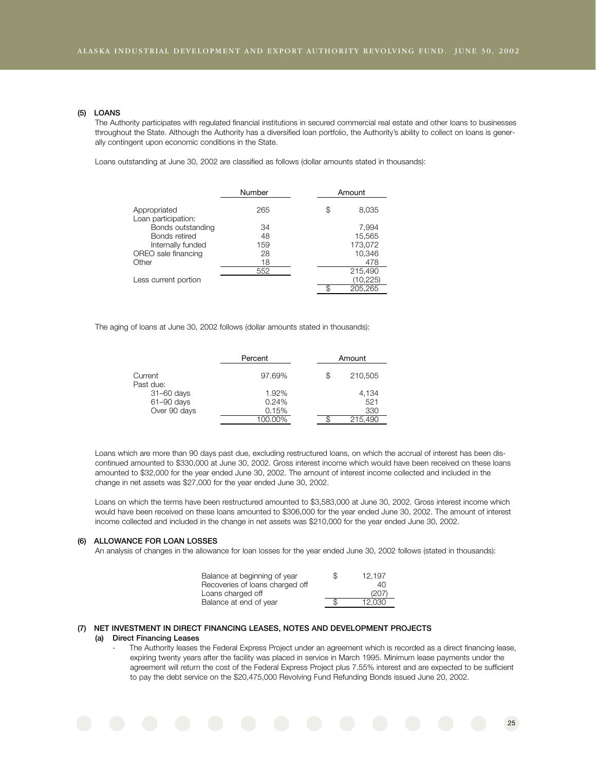#### **(5) LOANS**

The Authority participates with regulated financial institutions in secured commercial real estate and other loans to businesses throughout the State. Although the Authority has a diversified loan portfolio, the Authority's ability to collect on loans is generally contingent upon economic conditions in the State.

Loans outstanding at June 30, 2002 are classified as follows (dollar amounts stated in thousands):

|                                     | Number | Amount      |
|-------------------------------------|--------|-------------|
| Appropriated<br>Loan participation: | 265    | \$<br>8,035 |
| Bonds outstanding                   | 34     | 7,994       |
| Bonds retired                       | 48     | 15,565      |
| Internally funded                   | 159    | 173,072     |
| OREO sale financing                 | 28     | 10,346      |
| Other                               | 18     | 478         |
|                                     | 552    | 215,490     |
| Less current portion                |        | (10, 225)   |
|                                     |        | 205.265     |

The aging of loans at June 30, 2002 follows (dollar amounts stated in thousands):

|                      | Percent | Amount        |
|----------------------|---------|---------------|
| Current<br>Past due: | 97.69%  | \$<br>210,505 |
| $31 - 60$ days       | 1.92%   | 4,134         |
| 61-90 days           | 0.24%   | 521           |
| Over 90 days         | 0.15%   | 330           |
|                      | 100.00% | 215.490       |

Loans which are more than 90 days past due, excluding restructured loans, on which the accrual of interest has been discontinued amounted to \$330,000 at June 30, 2002. Gross interest income which would have been received on these loans amounted to \$32,000 for the year ended June 30, 2002. The amount of interest income collected and included in the change in net assets was \$27,000 for the year ended June 30, 2002.

Loans on which the terms have been restructured amounted to \$3,583,000 at June 30, 2002. Gross interest income which would have been received on these loans amounted to \$306,000 for the year ended June 30, 2002. The amount of interest income collected and included in the change in net assets was \$210,000 for the year ended June 30, 2002.

#### **(6) ALLOWANCE FOR LOAN LOSSES**

An analysis of changes in the allowance for loan losses for the year ended June 30, 2002 follows (stated in thousands):

| Balance at beginning of year    | S | 12.197 |
|---------------------------------|---|--------|
| Recoveries of loans charged off |   | 40     |
| Loans charged off               |   | (207)  |
| Balance at end of year          |   | 12.030 |
|                                 |   |        |

#### **(7) NET INVESTMENT IN DIRECT FINANCING LEASES, NOTES AND DEVELOPMENT PROJECTS**

#### **(a) Direct Financing Leases**

The Authority leases the Federal Express Project under an agreement which is recorded as a direct financing lease, expiring twenty years after the facility was placed in service in March 1995. Minimum lease payments under the agreement will return the cost of the Federal Express Project plus 7.55% interest and are expected to be sufficient to pay the debt service on the \$20,475,000 Revolving Fund Refunding Bonds issued June 20, 2002.

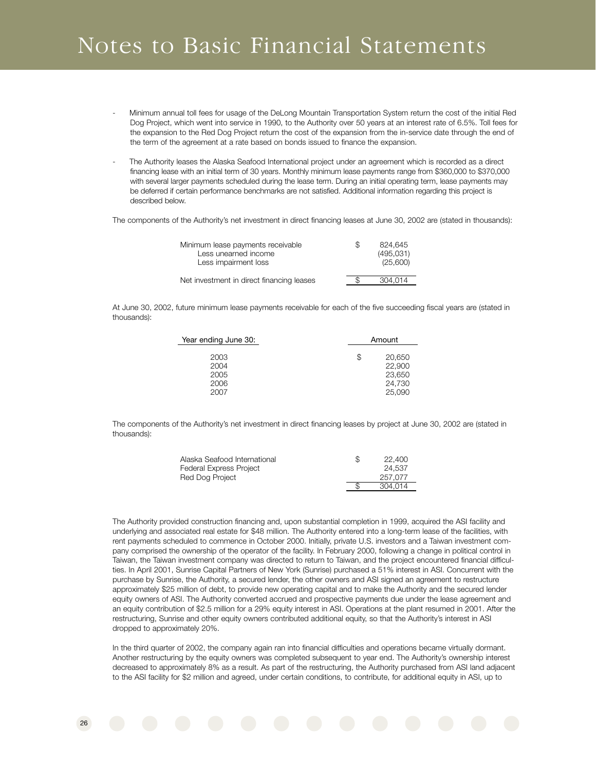# Notes to Basic Financial Statements

- Minimum annual toll fees for usage of the DeLong Mountain Transportation System return the cost of the initial Red Dog Project, which went into service in 1990, to the Authority over 50 years at an interest rate of 6.5%. Toll fees for the expansion to the Red Dog Project return the cost of the expansion from the in-service date through the end of the term of the agreement at a rate based on bonds issued to finance the expansion.
- The Authority leases the Alaska Seafood International project under an agreement which is recorded as a direct financing lease with an initial term of 30 years. Monthly minimum lease payments range from \$360,000 to \$370,000 with several larger payments scheduled during the lease term. During an initial operating term, lease payments may be deferred if certain performance benchmarks are not satisfied. Additional information regarding this project is described below.

The components of the Authority's net investment in direct financing leases at June 30, 2002 are (stated in thousands):

| Minimum lease payments receivable<br>Less unearned income<br>Less impairment loss | S | 824.645<br>(495,031)<br>(25,600) |
|-----------------------------------------------------------------------------------|---|----------------------------------|
| Net investment in direct financing leases                                         |   | 304.014                          |

At June 30, 2002, future minimum lease payments receivable for each of the five succeeding fiscal years are (stated in thousands):

| Year ending June 30:         | Amount |                                      |
|------------------------------|--------|--------------------------------------|
| 2003<br>2004<br>2005<br>2006 | \$     | 20,650<br>22,900<br>23,650<br>24,730 |
| 2007                         |        | 25,090                               |

The components of the Authority's net investment in direct financing leases by project at June 30, 2002 are (stated in thousands):

| Alaska Seafood International   | S | 22,400  |
|--------------------------------|---|---------|
| <b>Federal Express Project</b> |   | 24.537  |
| Red Dog Project                |   | 257.077 |
|                                |   | 304.014 |

The Authority provided construction financing and, upon substantial completion in 1999, acquired the ASI facility and underlying and associated real estate for \$48 million. The Authority entered into a long-term lease of the facilities, with rent payments scheduled to commence in October 2000. Initially, private U.S. investors and a Taiwan investment company comprised the ownership of the operator of the facility. In February 2000, following a change in political control in Taiwan, the Taiwan investment company was directed to return to Taiwan, and the project encountered financial difficulties. In April 2001, Sunrise Capital Partners of New York (Sunrise) purchased a 51% interest in ASI. Concurrent with the purchase by Sunrise, the Authority, a secured lender, the other owners and ASI signed an agreement to restructure approximately \$25 million of debt, to provide new operating capital and to make the Authority and the secured lender equity owners of ASI. The Authority converted accrued and prospective payments due under the lease agreement and an equity contribution of \$2.5 million for a 29% equity interest in ASI. Operations at the plant resumed in 2001. After the restructuring, Sunrise and other equity owners contributed additional equity, so that the Authority's interest in ASI dropped to approximately 20%.

In the third quarter of 2002, the company again ran into financial difficulties and operations became virtually dormant. Another restructuring by the equity owners was completed subsequent to year end. The Authority's ownership interest decreased to approximately 8% as a result. As part of the restructuring, the Authority purchased from ASI land adjacent to the ASI facility for \$2 million and agreed, under certain conditions, to contribute, for additional equity in ASI, up to

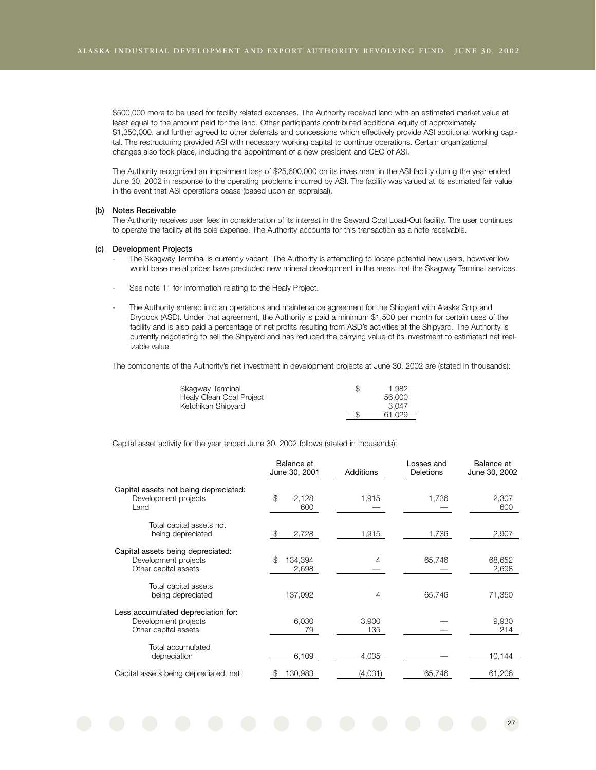\$500,000 more to be used for facility related expenses. The Authority received land with an estimated market value at least equal to the amount paid for the land. Other participants contributed additional equity of approximately \$1,350,000, and further agreed to other deferrals and concessions which effectively provide ASI additional working capital. The restructuring provided ASI with necessary working capital to continue operations. Certain organizational changes also took place, including the appointment of a new president and CEO of ASI.

The Authority recognized an impairment loss of \$25,600,000 on its investment in the ASI facility during the year ended June 30, 2002 in response to the operating problems incurred by ASI. The facility was valued at its estimated fair value in the event that ASI operations cease (based upon an appraisal).

#### **(b) Notes Receivable**

The Authority receives user fees in consideration of its interest in the Seward Coal Load-Out facility. The user continues to operate the facility at its sole expense. The Authority accounts for this transaction as a note receivable.

#### **(c) Development Projects**

- The Skagway Terminal is currently vacant. The Authority is attempting to locate potential new users, however low world base metal prices have precluded new mineral development in the areas that the Skagway Terminal services.
- See note 11 for information relating to the Healy Project.
- The Authority entered into an operations and maintenance agreement for the Shipyard with Alaska Ship and Drydock (ASD). Under that agreement, the Authority is paid a minimum \$1,500 per month for certain uses of the facility and is also paid a percentage of net profits resulting from ASD's activities at the Shipyard. The Authority is currently negotiating to sell the Shipyard and has reduced the carrying value of its investment to estimated net realizable value.

The components of the Authority's net investment in development projects at June 30, 2002 are (stated in thousands):

| Skagway Terminal         | \$<br>1.982 |
|--------------------------|-------------|
| Healy Clean Coal Project | 56,000      |
| Ketchikan Shipyard       | 3.047       |
|                          | 61.029      |

Capital asset activity for the year ended June 30, 2002 follows (stated in thousands):

|                                                                                    | Balance at<br>June 30, 2001 | <b>Additions</b> | Losses and<br><b>Deletions</b> | Balance at<br>June 30, 2002 |
|------------------------------------------------------------------------------------|-----------------------------|------------------|--------------------------------|-----------------------------|
| Capital assets not being depreciated:<br>Development projects<br>Land              | \$<br>2,128<br>600          | 1,915            | 1,736                          | 2,307<br>600                |
| Total capital assets not<br>being depreciated                                      | \$<br>2,728                 | 1,915            | 1,736                          | 2,907                       |
| Capital assets being depreciated:<br>Development projects<br>Other capital assets  | \$<br>134,394<br>2,698      | 4                | 65,746                         | 68,652<br>2,698             |
| Total capital assets<br>being depreciated                                          | 137,092                     | 4                | 65,746                         | 71,350                      |
| Less accumulated depreciation for:<br>Development projects<br>Other capital assets | 6.030<br>79                 | 3.900<br>135     |                                | 9,930<br>214                |
| Total accumulated<br>depreciation                                                  | 6,109                       | 4,035            |                                | 10,144                      |
| Capital assets being depreciated, net                                              | 130,983<br>\$               | (4,031)          | 65,746                         | 61,206                      |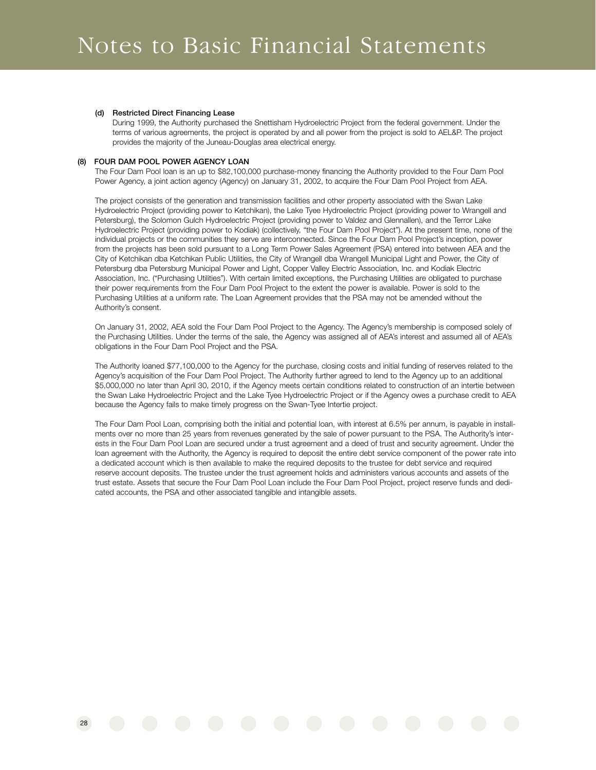#### **(d) Restricted Direct Financing Lease**

During 1999, the Authority purchased the Snettisham Hydroelectric Project from the federal government. Under the terms of various agreements, the project is operated by and all power from the project is sold to AEL&P. The project provides the majority of the Juneau-Douglas area electrical energy.

#### **(8) FOUR DAM POOL POWER AGENCY LOAN**

The Four Dam Pool loan is an up to \$82,100,000 purchase-money financing the Authority provided to the Four Dam Pool Power Agency, a joint action agency (Agency) on January 31, 2002, to acquire the Four Dam Pool Project from AEA.

The project consists of the generation and transmission facilities and other property associated with the Swan Lake Hydroelectric Project (providing power to Ketchikan), the Lake Tyee Hydroelectric Project (providing power to Wrangell and Petersburg), the Solomon Gulch Hydroelectric Project (providing power to Valdez and Glennallen), and the Terror Lake Hydroelectric Project (providing power to Kodiak) (collectively, "the Four Dam Pool Project"). At the present time, none of the individual projects or the communities they serve are interconnected. Since the Four Dam Pool Project's inception, power from the projects has been sold pursuant to a Long Term Power Sales Agreement (PSA) entered into between AEA and the City of Ketchikan dba Ketchikan Public Utilities, the City of Wrangell dba Wrangell Municipal Light and Power, the City of Petersburg dba Petersburg Municipal Power and Light, Copper Valley Electric Association, Inc. and Kodiak Electric Association, Inc. ("Purchasing Utilities"). With certain limited exceptions, the Purchasing Utilities are obligated to purchase their power requirements from the Four Dam Pool Project to the extent the power is available. Power is sold to the Purchasing Utilities at a uniform rate. The Loan Agreement provides that the PSA may not be amended without the Authority's consent.

On January 31, 2002, AEA sold the Four Dam Pool Project to the Agency. The Agency's membership is composed solely of the Purchasing Utilities. Under the terms of the sale, the Agency was assigned all of AEA's interest and assumed all of AEA's obligations in the Four Dam Pool Project and the PSA.

The Authority loaned \$77,100,000 to the Agency for the purchase, closing costs and initial funding of reserves related to the Agency's acquisition of the Four Dam Pool Project. The Authority further agreed to lend to the Agency up to an additional \$5,000,000 no later than April 30, 2010, if the Agency meets certain conditions related to construction of an intertie between the Swan Lake Hydroelectric Project and the Lake Tyee Hydroelectric Project or if the Agency owes a purchase credit to AEA because the Agency fails to make timely progress on the Swan-Tyee Intertie project.

The Four Dam Pool Loan, comprising both the initial and potential loan, with interest at 6.5% per annum, is payable in installments over no more than 25 years from revenues generated by the sale of power pursuant to the PSA. The Authority's interests in the Four Dam Pool Loan are secured under a trust agreement and a deed of trust and security agreement. Under the loan agreement with the Authority, the Agency is required to deposit the entire debt service component of the power rate into a dedicated account which is then available to make the required deposits to the trustee for debt service and required reserve account deposits. The trustee under the trust agreement holds and administers various accounts and assets of the trust estate. Assets that secure the Four Dam Pool Loan include the Four Dam Pool Project, project reserve funds and dedicated accounts, the PSA and other associated tangible and intangible assets.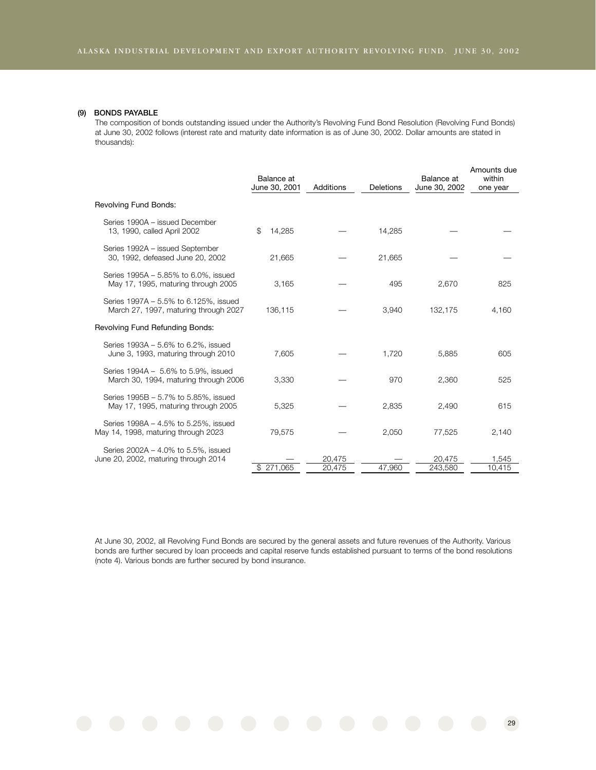#### **(9) BONDS PAYABLE**

The composition of bonds outstanding issued under the Authority's Revolving Fund Bond Resolution (Revolving Fund Bonds) at June 30, 2002 follows (interest rate and maturity date information is as of June 30, 2002. Dollar amounts are stated in thousands):

|                                                                                | Balance at<br>June 30, 2001 | Additions        | Deletions | Balance at<br>June 30, 2002 | Amounts due<br>within<br>one year |
|--------------------------------------------------------------------------------|-----------------------------|------------------|-----------|-----------------------------|-----------------------------------|
| Revolving Fund Bonds:                                                          |                             |                  |           |                             |                                   |
| Series 1990A - issued December<br>13, 1990, called April 2002                  | 14,285<br>\$                |                  | 14,285    |                             |                                   |
| Series 1992A - issued September<br>30, 1992, defeased June 20, 2002            | 21,665                      |                  | 21,665    |                             |                                   |
| Series 1995A - 5.85% to 6.0%, issued<br>May 17, 1995, maturing through 2005    | 3,165                       |                  | 495       | 2,670                       | 825                               |
| Series 1997A – 5.5% to 6.125%, issued<br>March 27, 1997, maturing through 2027 | 136,115                     |                  | 3,940     | 132,175                     | 4,160                             |
| Revolving Fund Refunding Bonds:                                                |                             |                  |           |                             |                                   |
| Series 1993A - 5.6% to 6.2%, issued<br>June 3, 1993, maturing through 2010     | 7,605                       |                  | 1,720     | 5,885                       | 605                               |
| Series 1994A - 5.6% to 5.9%, issued<br>March 30, 1994, maturing through 2006   | 3,330                       |                  | 970       | 2,360                       | 525                               |
| Series 1995B - 5.7% to 5.85%, issued<br>May 17, 1995, maturing through 2005    | 5,325                       |                  | 2,835     | 2,490                       | 615                               |
| Series 1998A - 4.5% to 5.25%, issued<br>May 14, 1998, maturing through 2023    | 79,575                      |                  | 2,050     | 77,525                      | 2,140                             |
| Series 2002A - 4.0% to 5.5%, issued<br>June 20, 2002, maturing through 2014    | \$271.065                   | 20,475<br>20,475 | 47.960    | 20.475<br>243,580           | 1,545<br>10.415                   |

At June 30, 2002, all Revolving Fund Bonds are secured by the general assets and future revenues of the Authority. Various bonds are further secured by loan proceeds and capital reserve funds established pursuant to terms of the bond resolutions (note 4). Various bonds are further secured by bond insurance.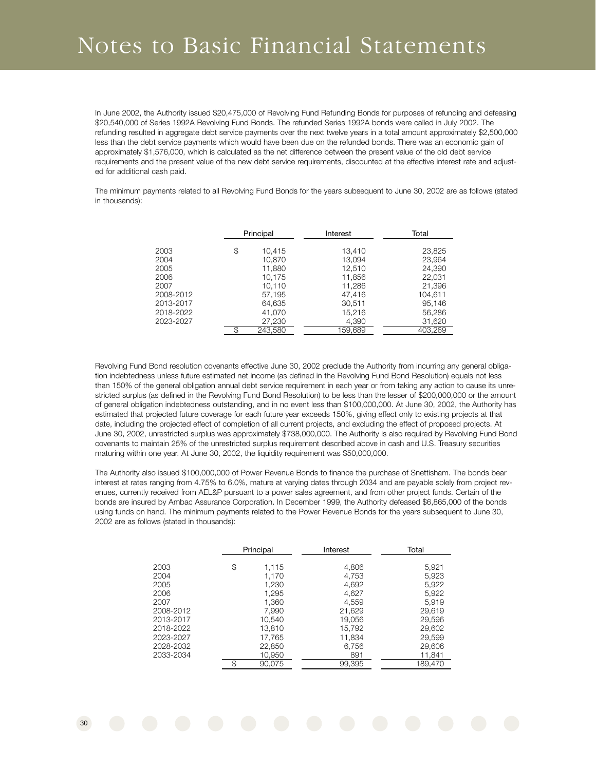## Notes to Basic Financial Statements

In June 2002, the Authority issued \$20,475,000 of Revolving Fund Refunding Bonds for purposes of refunding and defeasing \$20,540,000 of Series 1992A Revolving Fund Bonds. The refunded Series 1992A bonds were called in July 2002. The refunding resulted in aggregate debt service payments over the next twelve years in a total amount approximately \$2,500,000 less than the debt service payments which would have been due on the refunded bonds. There was an economic gain of approximately \$1,576,000, which is calculated as the net difference between the present value of the old debt service requirements and the present value of the new debt service requirements, discounted at the effective interest rate and adjusted for additional cash paid.

The minimum payments related to all Revolving Fund Bonds for the years subsequent to June 30, 2002 are as follows (stated in thousands):

|           | Principal     | Interest | Total   |
|-----------|---------------|----------|---------|
|           |               |          |         |
| 2003      | \$<br>10,415  | 13,410   | 23,825  |
| 2004      | 10,870        | 13,094   | 23,964  |
| 2005      | 11,880        | 12,510   | 24,390  |
| 2006      | 10,175        | 11,856   | 22,031  |
| 2007      | 10,110        | 11,286   | 21,396  |
| 2008-2012 | 57,195        | 47,416   | 104.611 |
| 2013-2017 | 64,635        | 30.511   | 95.146  |
| 2018-2022 | 41.070        | 15,216   | 56,286  |
| 2023-2027 | 27,230        | 4,390    | 31,620  |
|           | \$<br>243.580 | 159.689  | 403.269 |

Revolving Fund Bond resolution covenants effective June 30, 2002 preclude the Authority from incurring any general obligation indebtedness unless future estimated net income (as defined in the Revolving Fund Bond Resolution) equals not less than 150% of the general obligation annual debt service requirement in each year or from taking any action to cause its unrestricted surplus (as defined in the Revolving Fund Bond Resolution) to be less than the lesser of \$200,000,000 or the amount of general obligation indebtedness outstanding, and in no event less than \$100,000,000. At June 30, 2002, the Authority has estimated that projected future coverage for each future year exceeds 150%, giving effect only to existing projects at that date, including the projected effect of completion of all current projects, and excluding the effect of proposed projects. At June 30, 2002, unrestricted surplus was approximately \$738,000,000. The Authority is also required by Revolving Fund Bond covenants to maintain 25% of the unrestricted surplus requirement described above in cash and U.S. Treasury securities maturing within one year. At June 30, 2002, the liquidity requirement was \$50,000,000.

The Authority also issued \$100,000,000 of Power Revenue Bonds to finance the purchase of Snettisham. The bonds bear interest at rates ranging from 4.75% to 6.0%, mature at varying dates through 2034 and are payable solely from project revenues, currently received from AEL&P pursuant to a power sales agreement, and from other project funds. Certain of the bonds are insured by Ambac Assurance Corporation. In December 1999, the Authority defeased \$6,865,000 of the bonds using funds on hand. The minimum payments related to the Power Revenue Bonds for the years subsequent to June 30, 2002 are as follows (stated in thousands):

|           | Principal    | Interest | Total   |
|-----------|--------------|----------|---------|
| 2003      | \$<br>1,115  | 4,806    | 5,921   |
| 2004      | 1,170        | 4,753    | 5,923   |
| 2005      | 1,230        | 4,692    | 5,922   |
| 2006      | 1,295        | 4,627    | 5,922   |
| 2007      | 1,360        | 4,559    | 5.919   |
| 2008-2012 | 7,990        | 21,629   | 29,619  |
| 2013-2017 | 10,540       | 19,056   | 29,596  |
| 2018-2022 | 13,810       | 15,792   | 29,602  |
| 2023-2027 | 17,765       | 11,834   | 29,599  |
| 2028-2032 | 22,850       | 6,756    | 29,606  |
| 2033-2034 | 10,950       | 891      | 11,841  |
|           | \$<br>90.075 | 99.395   | 189.470 |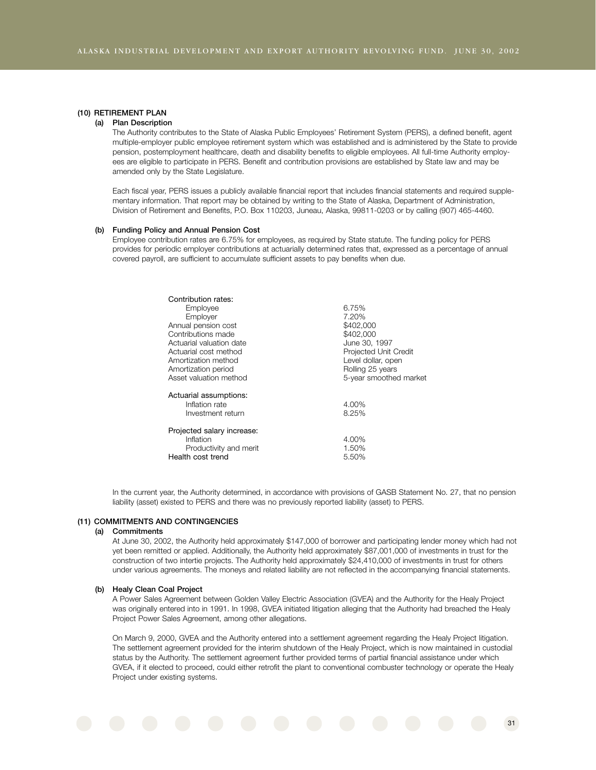#### **(10) RETIREMENT PLAN**

#### **(a) Plan Description**

The Authority contributes to the State of Alaska Public Employees' Retirement System (PERS), a defined benefit, agent multiple-employer public employee retirement system which was established and is administered by the State to provide pension, postemployment healthcare, death and disability benefits to eligible employees. All full-time Authority employees are eligible to participate in PERS. Benefit and contribution provisions are established by State law and may be amended only by the State Legislature.

Each fiscal year, PERS issues a publicly available financial report that includes financial statements and required supplementary information. That report may be obtained by writing to the State of Alaska, Department of Administration, Division of Retirement and Benefits, P.O. Box 110203, Juneau, Alaska, 99811-0203 or by calling (907) 465-4460.

#### **(b) Funding Policy and Annual Pension Cost**

Employee contribution rates are 6.75% for employees, as required by State statute. The funding policy for PERS provides for periodic employer contributions at actuarially determined rates that, expressed as a percentage of annual covered payroll, are sufficient to accumulate sufficient assets to pay benefits when due.

| Contribution rates:        |                        |
|----------------------------|------------------------|
| Employee                   | 6.75%                  |
| Employer                   | 7.20%                  |
| Annual pension cost        | \$402,000              |
| Contributions made         | \$402,000              |
| Actuarial valuation date   | June 30, 1997          |
| Actuarial cost method      | Projected Unit Credit  |
| Amortization method        | Level dollar, open     |
| Amortization period        | Rolling 25 years       |
| Asset valuation method     | 5-year smoothed market |
| Actuarial assumptions:     |                        |
| Inflation rate             | 4.00%                  |
| Investment return          | 8.25%                  |
| Projected salary increase: |                        |
| Inflation                  | 4.00%                  |
| Productivity and merit     | 1.50%                  |
| Health cost trend          | 5.50%                  |
|                            |                        |

In the current year, the Authority determined, in accordance with provisions of GASB Statement No. 27, that no pension liability (asset) existed to PERS and there was no previously reported liability (asset) to PERS.

#### **(11) COMMITMENTS AND CONTINGENCIES**

#### **(a) Commitments**

At June 30, 2002, the Authority held approximately \$147,000 of borrower and participating lender money which had not yet been remitted or applied. Additionally, the Authority held approximately \$87,001,000 of investments in trust for the construction of two intertie projects. The Authority held approximately \$24,410,000 of investments in trust for others under various agreements. The moneys and related liability are not reflected in the accompanying financial statements.

#### **(b) Healy Clean Coal Project**

A Power Sales Agreement between Golden Valley Electric Association (GVEA) and the Authority for the Healy Project was originally entered into in 1991. In 1998, GVEA initiated litigation alleging that the Authority had breached the Healy Project Power Sales Agreement, among other allegations.

On March 9, 2000, GVEA and the Authority entered into a settlement agreement regarding the Healy Project litigation. The settlement agreement provided for the interim shutdown of the Healy Project, which is now maintained in custodial status by the Authority. The settlement agreement further provided terms of partial financial assistance under which GVEA, if it elected to proceed, could either retrofit the plant to conventional combuster technology or operate the Healy Project under existing systems.

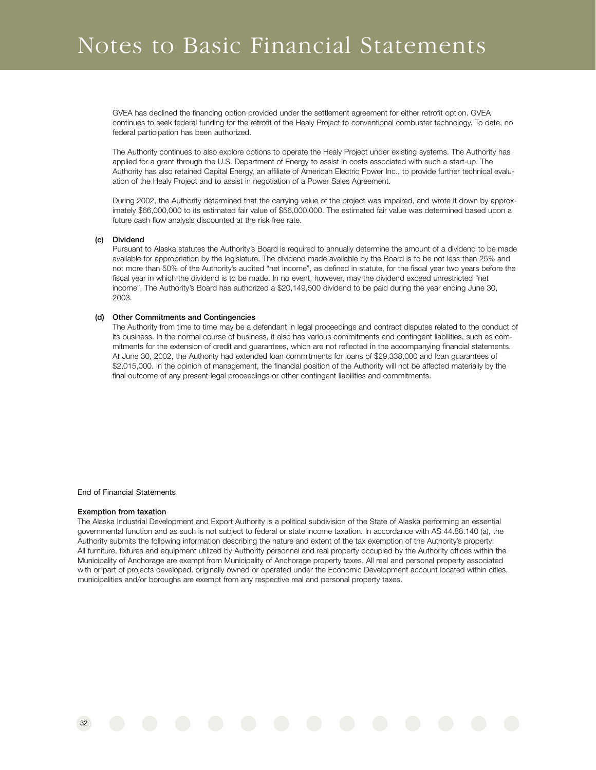# Notes to Basic Financial Statements

GVEA has declined the financing option provided under the settlement agreement for either retrofit option. GVEA continues to seek federal funding for the retrofit of the Healy Project to conventional combuster technology. To date, no federal participation has been authorized.

The Authority continues to also explore options to operate the Healy Project under existing systems. The Authority has applied for a grant through the U.S. Department of Energy to assist in costs associated with such a start-up. The Authority has also retained Capital Energy, an affiliate of American Electric Power Inc., to provide further technical evaluation of the Healy Project and to assist in negotiation of a Power Sales Agreement.

During 2002, the Authority determined that the carrying value of the project was impaired, and wrote it down by approximately \$66,000,000 to its estimated fair value of \$56,000,000. The estimated fair value was determined based upon a future cash flow analysis discounted at the risk free rate.

#### **(c) Dividend**

Pursuant to Alaska statutes the Authority's Board is required to annually determine the amount of a dividend to be made available for appropriation by the legislature. The dividend made available by the Board is to be not less than 25% and not more than 50% of the Authority's audited "net income", as defined in statute, for the fiscal year two years before the fiscal year in which the dividend is to be made. In no event, however, may the dividend exceed unrestricted "net income". The Authority's Board has authorized a \$20,149,500 dividend to be paid during the year ending June 30, 2003.

#### **(d) Other Commitments and Contingencies**

The Authority from time to time may be a defendant in legal proceedings and contract disputes related to the conduct of its business. In the normal course of business, it also has various commitments and contingent liabilities, such as commitments for the extension of credit and guarantees, which are not reflected in the accompanying financial statements. At June 30, 2002, the Authority had extended loan commitments for loans of \$29,338,000 and loan guarantees of \$2,015,000. In the opinion of management, the financial position of the Authority will not be affected materially by the final outcome of any present legal proceedings or other contingent liabilities and commitments.

#### End of Financial Statements

#### **Exemption from taxation**

The Alaska Industrial Development and Export Authority is a political subdivision of the State of Alaska performing an essential governmental function and as such is not subject to federal or state income taxation. In accordance with AS 44.88.140 (a), the Authority submits the following information describing the nature and extent of the tax exemption of the Authority's property: All furniture, fixtures and equipment utilized by Authority personnel and real property occupied by the Authority offices within the Municipality of Anchorage are exempt from Municipality of Anchorage property taxes. All real and personal property associated with or part of projects developed, originally owned or operated under the Economic Development account located within cities, municipalities and/or boroughs are exempt from any respective real and personal property taxes.